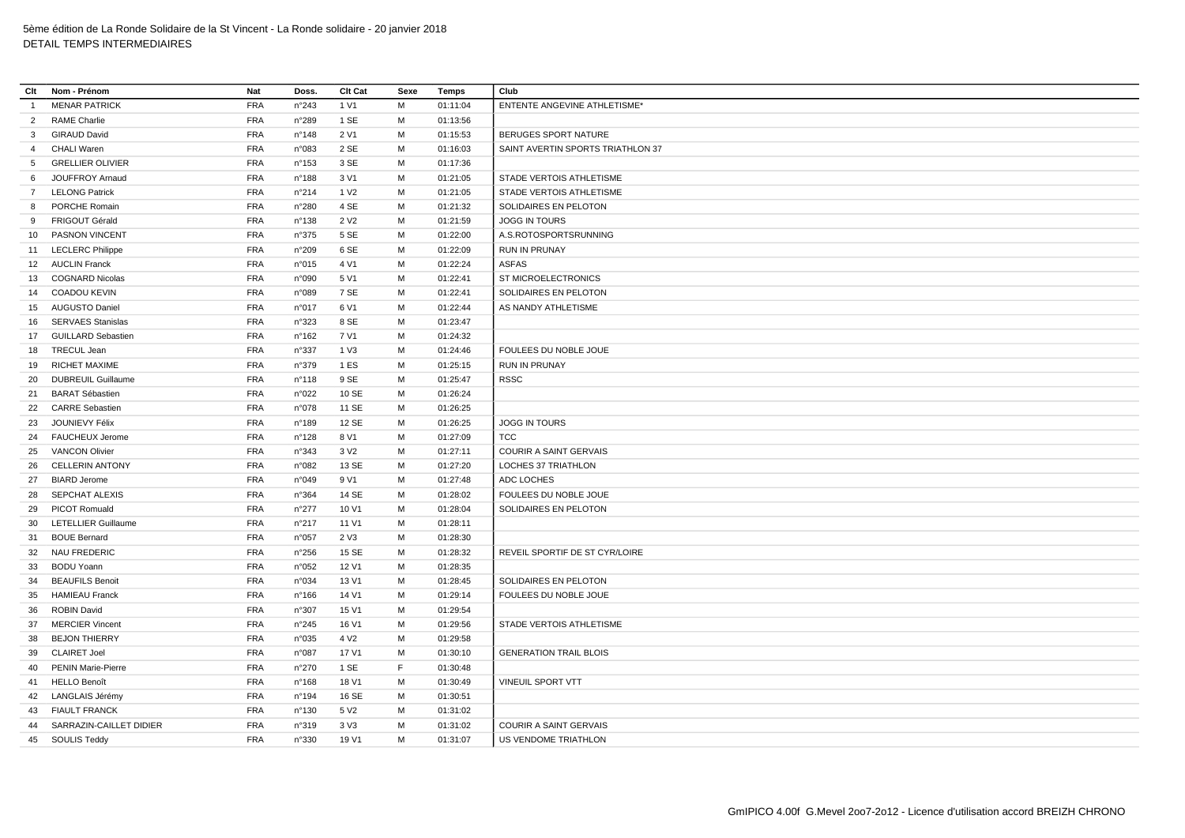| Clt            | Nom - Prénom               | Nat        | Doss.          | <b>Clt Cat</b>   | Sexe | Temps    | Club                              |
|----------------|----------------------------|------------|----------------|------------------|------|----------|-----------------------------------|
| $\overline{1}$ | <b>MENAR PATRICK</b>       | <b>FRA</b> | n°243          | 1 V1             | M    | 01:11:04 | ENTENTE ANGEVINE ATHLETISME*      |
| $\overline{2}$ | <b>RAME Charlie</b>        | <b>FRA</b> | n°289          | 1 SE             | M    | 01:13:56 |                                   |
| 3              | <b>GIRAUD David</b>        | <b>FRA</b> | n°148          | 2 V1             | М    | 01:15:53 | BERUGES SPORT NATURE              |
| $\overline{4}$ | <b>CHALI Waren</b>         | <b>FRA</b> | n°083          | 2 SE             | M    | 01:16:03 | SAINT AVERTIN SPORTS TRIATHLON 37 |
| 5              | <b>GRELLIER OLIVIER</b>    | <b>FRA</b> | n°153          | 3 SE             | M    | 01:17:36 |                                   |
| 6              | <b>JOUFFROY Arnaud</b>     | <b>FRA</b> | n°188          | 3 V1             | M    | 01:21:05 | STADE VERTOIS ATHLETISME          |
|                | 7 LELONG Patrick           | <b>FRA</b> | n°214          | 1 V <sub>2</sub> | M    | 01:21:05 | STADE VERTOIS ATHLETISME          |
| 8              | PORCHE Romain              | <b>FRA</b> | n°280          | 4 SE             | м    | 01:21:32 | SOLIDAIRES EN PELOTON             |
| 9              | FRIGOUT Gérald             | <b>FRA</b> | n°138          | 2 V <sub>2</sub> | M    | 01:21:59 | <b>JOGG IN TOURS</b>              |
| 10             | <b>PASNON VINCENT</b>      | <b>FRA</b> | n°375          | 5 SE             | М    | 01:22:00 | A.S.ROTOSPORTSRUNNING             |
|                | 11 LECLERC Philippe        | <b>FRA</b> | n°209          | 6 SE             | M    | 01:22:09 | <b>RUN IN PRUNAY</b>              |
|                | 12 AUCLIN Franck           | <b>FRA</b> | n°015          | 4 V1             | м    | 01:22:24 | <b>ASFAS</b>                      |
|                | 13 COGNARD Nicolas         | <b>FRA</b> | n°090          | 5 V1             | M    | 01:22:41 | ST MICROELECTRONICS               |
|                | 14 COADOU KEVIN            | <b>FRA</b> | n°089          | 7 SE             | M    | 01:22:41 | SOLIDAIRES EN PELOTON             |
|                | 15 AUGUSTO Daniel          | <b>FRA</b> | n°017          | 6 V1             | M    | 01:22:44 | AS NANDY ATHLETISME               |
| 16             | <b>SERVAES Stanislas</b>   | <b>FRA</b> | n°323          | 8 SE             | м    | 01:23:47 |                                   |
|                | 17 GUILLARD Sebastien      | <b>FRA</b> | n°162          | 7 V1             | M    | 01:24:32 |                                   |
| 18             | TRECUL Jean                | <b>FRA</b> | n°337          | 1 V3             | М    | 01:24:46 | FOULEES DU NOBLE JOUE             |
| 19             | <b>RICHET MAXIME</b>       | <b>FRA</b> | n°379          | 1 ES             | M    | 01:25:15 | <b>RUN IN PRUNAY</b>              |
| 20             | <b>DUBREUIL Guillaume</b>  | <b>FRA</b> | n°118          | 9 SE             | M    | 01:25:47 | <b>RSSC</b>                       |
| 21             | <b>BARAT Sébastien</b>     | <b>FRA</b> | n°022          | 10 SE            | M    | 01:26:24 |                                   |
|                | 22 CARRE Sebastien         | <b>FRA</b> | n°078          | 11 SE            | м    | 01:26:25 |                                   |
| 23             | <b>JOUNIEVY Félix</b>      | <b>FRA</b> | n°189          | 12 SE            | M    | 01:26:25 | <b>JOGG IN TOURS</b>              |
|                | 24 FAUCHEUX Jerome         | <b>FRA</b> | n°128          | 8 V1             | M    | 01:27:09 | TCC                               |
| 25             | <b>VANCON Olivier</b>      | <b>FRA</b> | n°343          | 3 V <sub>2</sub> | М    | 01:27:11 | <b>COURIR A SAINT GERVAIS</b>     |
| 26             | <b>CELLERIN ANTONY</b>     | <b>FRA</b> | n°082          | 13 SE            | M    | 01:27:20 | LOCHES 37 TRIATHLON               |
| 27             | <b>BIARD Jerome</b>        | <b>FRA</b> | n°049          | 9 V1             | M    | 01:27:48 | ADC LOCHES                        |
| 28             | <b>SEPCHAT ALEXIS</b>      | <b>FRA</b> | n°364          | 14 SE            | M    | 01:28:02 | FOULEES DU NOBLE JOUE             |
| 29             | PICOT Romuald              | <b>FRA</b> | n°277          | 10 V1            | M    | 01:28:04 | SOLIDAIRES EN PELOTON             |
| 30             | <b>LETELLIER Guillaume</b> | FRA        | n°217          | 11 V1            | M    | 01:28:11 |                                   |
| 31             | <b>BOUE Bernard</b>        | <b>FRA</b> | n°057          | 2 V3             | M    | 01:28:30 |                                   |
| 32             | NAU FREDERIC               | <b>FRA</b> | $n^{\circ}256$ | 15 SE            | M    | 01:28:32 | REVEIL SPORTIF DE ST CYR/LOIRE    |
| 33             | <b>BODU Yoann</b>          | <b>FRA</b> | n°052          | 12 V1            | М    | 01:28:35 |                                   |
| 34             | <b>BEAUFILS Benoit</b>     | <b>FRA</b> | n°034          | 13 V1            | M    | 01:28:45 | SOLIDAIRES EN PELOTON             |
|                | 35 HAMIEAU Franck          | <b>FRA</b> | n°166          | 14 V1            | M    | 01:29:14 | FOULEES DU NOBLE JOUE             |
| 36             | <b>ROBIN David</b>         | <b>FRA</b> | n°307          | 15 V1            | M    | 01:29:54 |                                   |
| 37             | <b>MERCIER Vincent</b>     | <b>FRA</b> | n°245          | 16 V1            | М    | 01:29:56 | STADE VERTOIS ATHLETISME          |
| 38             | <b>BEJON THIERRY</b>       | <b>FRA</b> | n°035          | 4 V <sub>2</sub> | М    | 01:29:58 |                                   |
| 39             | <b>CLAIRET Joel</b>        | <b>FRA</b> | n°087          | 17 V1            | м    | 01:30:10 | <b>GENERATION TRAIL BLOIS</b>     |
| 40             | <b>PENIN Marie-Pierre</b>  | <b>FRA</b> | n°270          | 1 SE             | F    | 01:30:48 |                                   |
| 41             | <b>HELLO Benoît</b>        | <b>FRA</b> | n°168          | 18 V1            | М    | 01:30:49 | VINEUIL SPORT VTT                 |
|                | 42 LANGLAIS Jérémy         | <b>FRA</b> | n°194          | 16 SE            | M    | 01:30:51 |                                   |
| 43             | <b>FIAULT FRANCK</b>       | <b>FRA</b> | n°130          | 5 V <sub>2</sub> | м    | 01:31:02 |                                   |
| 44             | SARRAZIN-CAILLET DIDIER    | <b>FRA</b> | n°319          | 3 <sub>V</sub> 3 | M    | 01:31:02 | <b>COURIR A SAINT GERVAIS</b>     |
|                | 45 SOULIS Teddy            | <b>FRA</b> | n°330          | 19 V1            | M    | 01:31:07 | US VENDOME TRIATHLON              |
|                |                            |            |                |                  |      |          |                                   |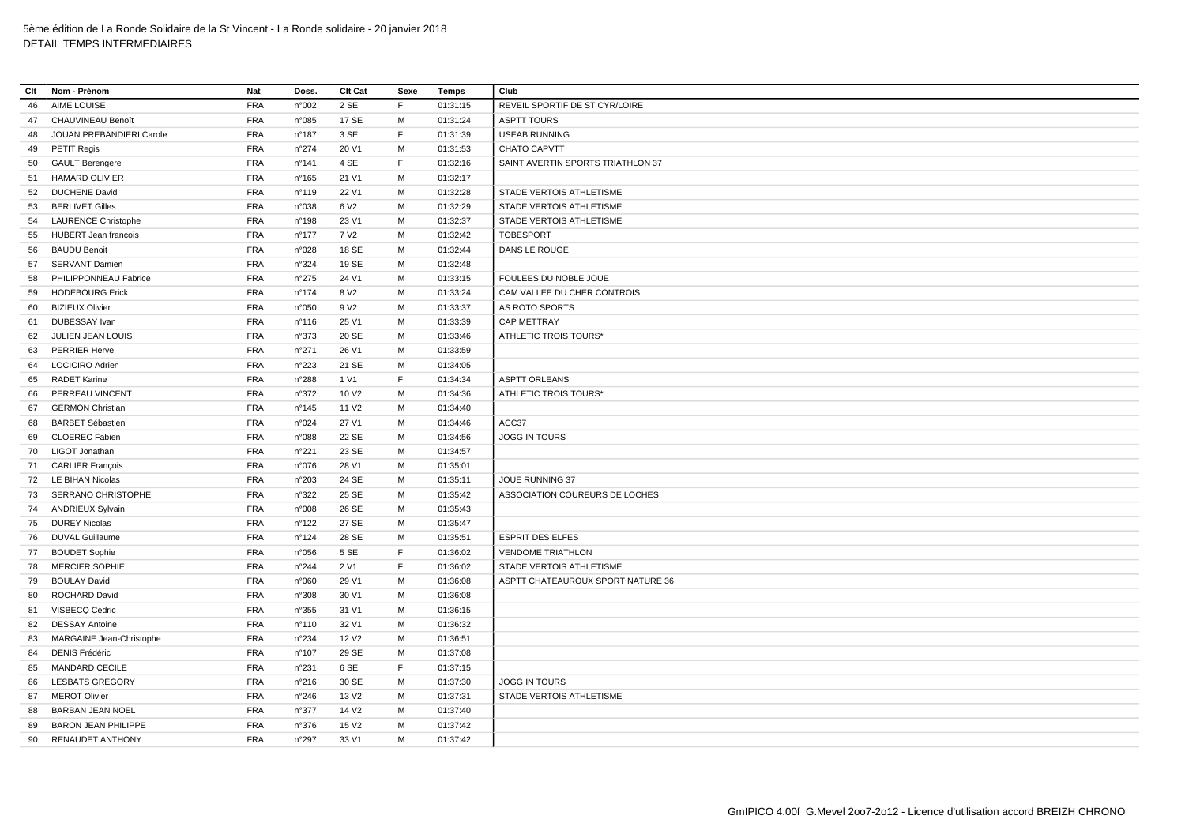| Clt | Nom - Prénom                | Nat        | Doss.           | Clt Cat           | Sexe        | Temps    | Club                              |
|-----|-----------------------------|------------|-----------------|-------------------|-------------|----------|-----------------------------------|
| 46  | AIME LOUISE                 | <b>FRA</b> | n°002           | 2 SE              | F           | 01:31:15 | REVEIL SPORTIF DE ST CYR/LOIRE    |
| 47  | CHAUVINEAU Benoît           | <b>FRA</b> | n°085           | 17 SE             | м           | 01:31:24 | <b>ASPTT TOURS</b>                |
| 48  | JOUAN PREBANDIERI Carole    | <b>FRA</b> | $n^{\circ}$ 187 | 3 SE              | F           | 01:31:39 | <b>USEAB RUNNING</b>              |
| 49  | PETIT Regis                 | <b>FRA</b> | n°274           | 20 V1             | M           | 01:31:53 | <b>CHATO CAPVTT</b>               |
| 50  | <b>GAULT Berengere</b>      | <b>FRA</b> | $n^{\circ}$ 141 | 4 SE              | E           | 01:32:16 | SAINT AVERTIN SPORTS TRIATHLON 37 |
| 51  | <b>HAMARD OLIVIER</b>       | <b>FRA</b> | $n^{\circ}165$  | 21 V1             | M           | 01:32:17 |                                   |
| 52  | <b>DUCHENE David</b>        | <b>FRA</b> | $n^{\circ}$ 119 | 22 V1             | M           | 01:32:28 | STADE VERTOIS ATHLETISME          |
| 53  | <b>BERLIVET Gilles</b>      | <b>FRA</b> | n°038           | 6 V <sub>2</sub>  | M           | 01:32:29 | STADE VERTOIS ATHLETISME          |
| 54  | <b>LAURENCE Christophe</b>  | <b>FRA</b> | $n^{\circ}$ 198 | 23 V1             | M           | 01:32:37 | STADE VERTOIS ATHLETISME          |
| 55  | <b>HUBERT Jean francois</b> | <b>FRA</b> | $n^{\circ}$ 177 | 7 V <sub>2</sub>  | м           | 01:32:42 | <b>TOBESPORT</b>                  |
| 56  | <b>BAUDU Benoit</b>         | <b>FRA</b> | n°028           | 18 SE             | M           | 01:32:44 | DANS LE ROUGE                     |
| 57  | <b>SERVANT Damien</b>       | <b>FRA</b> | n°324           | 19 SE             | м           | 01:32:48 |                                   |
| 58  | PHILIPPONNEAU Fabrice       | <b>FRA</b> | n°275           | 24 V1             | M           | 01:33:15 | FOULEES DU NOBLE JOUE             |
| 59  | <b>HODEBOURG Erick</b>      | FRA        | $n^{\circ}$ 174 | 8 V <sub>2</sub>  | M           | 01:33:24 | CAM VALLEE DU CHER CONTROIS       |
| 60  | <b>BIZIEUX Olivier</b>      | <b>FRA</b> | n°050           | 9 V <sub>2</sub>  | M           | 01:33:37 | AS ROTO SPORTS                    |
| 61  | <b>DUBESSAY</b> Ivan        | <b>FRA</b> | $n^{\circ}$ 116 | 25 V1             | M           | 01:33:39 | <b>CAP METTRAY</b>                |
| 62  | JULIEN JEAN LOUIS           | FRA        | n°373           | 20 SE             | M           | 01:33:46 | ATHLETIC TROIS TOURS*             |
| 63  | <b>PERRIER Herve</b>        | <b>FRA</b> | n°271           | 26 V1             | м           | 01:33:59 |                                   |
| 64  | <b>LOCICIRO Adrien</b>      | FRA        | n°223           | 21 SE             | M           | 01:34:05 |                                   |
| 65  | <b>RADET Karine</b>         | <b>FRA</b> | n°288           | 1 V1              | $\mathsf F$ | 01:34:34 | <b>ASPTT ORLEANS</b>              |
| 66  | PERREAU VINCENT             | <b>FRA</b> | n°372           | 10 V <sub>2</sub> | M           | 01:34:36 | ATHLETIC TROIS TOURS'             |
| 67  | <b>GERMON Christian</b>     | <b>FRA</b> | $n^{\circ}$ 145 | 11 V <sub>2</sub> | м           | 01:34:40 |                                   |
| 68  | <b>BARBET Sébastien</b>     | <b>FRA</b> | n°024           | 27 V1             | M           | 01:34:46 | ACC37                             |
| 69  | <b>CLOEREC Fabien</b>       | <b>FRA</b> | n°088           | 22 SE             | M           | 01:34:56 | JOGG IN TOURS                     |
| 70  | LIGOT Jonathan              | <b>FRA</b> | n°221           | 23 SE             | M           | 01:34:57 |                                   |
| 71  | <b>CARLIER François</b>     | <b>FRA</b> | n°076           | 28 V1             | м           | 01:35:01 |                                   |
| 72  | LE BIHAN Nicolas            | <b>FRA</b> | n°203           | 24 SE             | M           | 01:35:11 | JOUE RUNNING 37                   |
| 73  | SERRANO CHRISTOPHE          | <b>FRA</b> | n°322           | 25 SE             | M           | 01:35:42 | ASSOCIATION COUREURS DE LOCHES    |
| 74  | <b>ANDRIEUX Sylvain</b>     | <b>FRA</b> | n°008           | 26 SE             | M           | 01:35:43 |                                   |
| 75  | <b>DUREY Nicolas</b>        | <b>FRA</b> | n°122           | 27 SE             | M           | 01:35:47 |                                   |
| 76  | <b>DUVAL Guillaume</b>      | <b>FRA</b> | n°124           | 28 SE             | M           | 01:35:51 | <b>ESPRIT DES ELFES</b>           |
| 77  | <b>BOUDET Sophie</b>        | <b>FRA</b> | n°056           | 5 SE              | E           | 01:36:02 | <b>VENDOME TRIATHLON</b>          |
| 78  | <b>MERCIER SOPHIE</b>       | <b>FRA</b> | n°244           | 2 V1              | $\mathsf F$ | 01:36:02 | STADE VERTOIS ATHLETISME          |
| 79  | <b>BOULAY David</b>         | <b>FRA</b> | n°060           | 29 V1             | M           | 01:36:08 | ASPTT CHATEAUROUX SPORT NATURE 36 |
| 80  | ROCHARD David               | <b>FRA</b> | n°308           | 30 V1             | M           | 01:36:08 |                                   |
| 81  | VISBECQ Cédric              | <b>FRA</b> | n°355           | 31 V1             | M           | 01:36:15 |                                   |
| 82  | <b>DESSAY Antoine</b>       | <b>FRA</b> | n°110           | 32 V1             | M           | 01:36:32 |                                   |
| 83  | MARGAINE Jean-Christophe    | <b>FRA</b> | n°234           | 12 V <sub>2</sub> | M           | 01:36:51 |                                   |
| 84  | <b>DENIS Frédéric</b>       | <b>FRA</b> | $n^{\circ}107$  | 29 SE             | M           | 01:37:08 |                                   |
| 85  | <b>MANDARD CECILE</b>       | <b>FRA</b> | n°231           | 6 SE              | F           | 01:37:15 |                                   |
| 86  | <b>LESBATS GREGORY</b>      | <b>FRA</b> | n°216           | 30 SE             | M           | 01:37:30 | <b>JOGG IN TOURS</b>              |
| 87  | <b>MEROT Olivier</b>        | <b>FRA</b> | n°246           | 13 V <sub>2</sub> | M           | 01:37:31 | STADE VERTOIS ATHLETISME          |
| 88  | <b>BARBAN JEAN NOEL</b>     | <b>FRA</b> | n°377           | 14 V <sub>2</sub> | м           | 01:37:40 |                                   |
| 89  | <b>BARON JEAN PHILIPPE</b>  | <b>FRA</b> | n°376           | 15 V <sub>2</sub> | м           | 01:37:42 |                                   |
| 90  | <b>RENAUDET ANTHONY</b>     | <b>FRA</b> | n°297           | 33 V1             | M           | 01:37:42 |                                   |
|     |                             |            |                 |                   |             |          |                                   |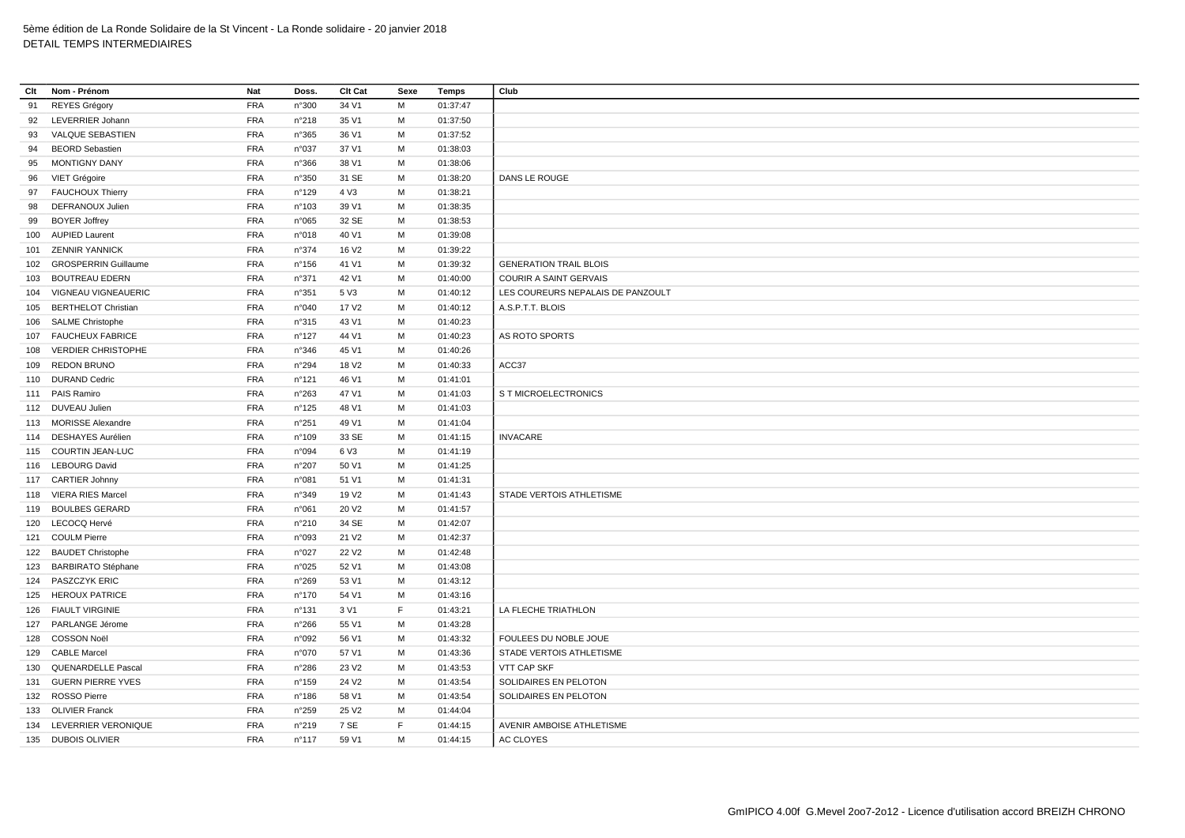| Clt | Nom - Prénom               | Nat        | Doss. | Clt Cat           | Sexe | Temps    | Club                              |
|-----|----------------------------|------------|-------|-------------------|------|----------|-----------------------------------|
| 91  | <b>REYES Grégory</b>       | <b>FRA</b> | n°300 | 34 V1             | M    | 01:37:47 |                                   |
| 92  | LEVERRIER Johann           | <b>FRA</b> | n°218 | 35 V1             | M    | 01:37:50 |                                   |
| 93  | VALQUE SEBASTIEN           | <b>FRA</b> | n°365 | 36 V1             | M    | 01:37:52 |                                   |
| 94  | <b>BEORD</b> Sebastien     | <b>FRA</b> | n°037 | 37 V1             | M    | 01:38:03 |                                   |
| 95  | <b>MONTIGNY DANY</b>       | <b>FRA</b> | n°366 | 38 V1             | M    | 01:38:06 |                                   |
| 96  | VIET Grégoire              | <b>FRA</b> | n°350 | 31 SE             | M    | 01:38:20 | DANS LE ROUGE                     |
| 97  | <b>FAUCHOUX Thierry</b>    | <b>FRA</b> | n°129 | 4 V3              | М    | 01:38:21 |                                   |
| 98  | DEFRANOUX Julien           | FRA        | n°103 | 39 V1             | М    | 01:38:35 |                                   |
| 99  | <b>BOYER Joffrey</b>       | <b>FRA</b> | n°065 | 32 SE             | M    | 01:38:53 |                                   |
|     | 100 AUPIED Laurent         | <b>FRA</b> | n°018 | 40 V1             | М    | 01:39:08 |                                   |
| 101 | <b>ZENNIR YANNICK</b>      | <b>FRA</b> | n°374 | 16 V <sub>2</sub> | M    | 01:39:22 |                                   |
|     | 102 GROSPERRIN Guillaume   | <b>FRA</b> | n°156 | 41 V1             | M    | 01:39:32 | <b>GENERATION TRAIL BLOIS</b>     |
| 103 | <b>BOUTREAU EDERN</b>      | <b>FRA</b> | n°371 | 42 V1             | M    | 01:40:00 | COURIR A SAINT GERVAIS            |
| 104 | VIGNEAU VIGNEAUERIC        | <b>FRA</b> | n°351 | 5 V3              | M    | 01:40:12 | LES COUREURS NEPALAIS DE PANZOULT |
| 105 | <b>BERTHELOT Christian</b> | <b>FRA</b> | n°040 | 17 V2             | M    | 01:40:12 | A.S.P.T.T. BLOIS                  |
|     | 106 SALME Christophe       | <b>FRA</b> | n°315 | 43 V1             | M    | 01:40:23 |                                   |
|     | 107 FAUCHEUX FABRICE       | <b>FRA</b> | n°127 | 44 V1             | М    | 01:40:23 | AS ROTO SPORTS                    |
| 108 | <b>VERDIER CHRISTOPHE</b>  | <b>FRA</b> | n°346 | 45 V1             | M    | 01:40:26 |                                   |
| 109 | <b>REDON BRUNO</b>         | <b>FRA</b> | n°294 | 18 V <sub>2</sub> | М    | 01:40:33 | ACC37                             |
|     | 110 DURAND Cedric          | <b>FRA</b> | n°121 | 46 V1             | М    | 01:41:01 |                                   |
|     | 111 PAIS Ramiro            | <b>FRA</b> | n°263 | 47 V1             | M    | 01:41:03 | S T MICROELECTRONICS              |
|     | 112 DUVEAU Julien          | <b>FRA</b> | n°125 | 48 V1             | М    | 01:41:03 |                                   |
|     | 113 MORISSE Alexandre      | <b>FRA</b> | n°251 | 49 V1             | M    | 01:41:04 |                                   |
| 114 | <b>DESHAYES Aurélien</b>   | <b>FRA</b> | n°109 | 33 SE             | M    | 01:41:15 | <b>INVACARE</b>                   |
|     | 115 COURTIN JEAN-LUC       | <b>FRA</b> | n°094 | 6 V3              | M    | 01:41:19 |                                   |
|     | 116 LEBOURG David          | <b>FRA</b> | n°207 | 50 V1             | М    | 01:41:25 |                                   |
|     | 117 CARTIER Johnny         | <b>FRA</b> | n°081 | 51 V1             | M    | 01:41:31 |                                   |
|     | 118 VIERA RIES Marcel      | <b>FRA</b> | n°349 | 19 V <sub>2</sub> | М    | 01:41:43 | STADE VERTOIS ATHLETISME          |
|     | 119 BOULBES GERARD         | <b>FRA</b> | n°061 | 20 V <sub>2</sub> | M    | 01:41:57 |                                   |
|     | 120 LECOCQ Hervé           | <b>FRA</b> | n°210 | 34 SE             | M    | 01:42:07 |                                   |
|     | 121 COULM Pierre           | <b>FRA</b> | n°093 | 21 V <sub>2</sub> | M    | 01:42:37 |                                   |
|     | 122 BAUDET Christophe      | <b>FRA</b> | n°027 | 22 V <sub>2</sub> | M    | 01:42:48 |                                   |
|     | 123 BARBIRATO Stéphane     | <b>FRA</b> | n°025 | 52 V1             | м    | 01:43:08 |                                   |
|     | 124 PASZCZYK ERIC          | <b>FRA</b> | n°269 | 53 V1             | M    | 01:43:12 |                                   |
|     | 125 HEROUX PATRICE         | <b>FRA</b> | n°170 | 54 V1             | M    | 01:43:16 |                                   |
|     | 126 FIAULT VIRGINIE        | <b>FRA</b> | n°131 | 3 V1              | F    | 01:43:21 | LA FLECHE TRIATHLON               |
| 127 | PARLANGE Jérome            | <b>FRA</b> | n°266 | 55 V1             | М    | 01:43:28 |                                   |
|     | 128 COSSON Noël            | <b>FRA</b> | n°092 | 56 V1             | M    | 01:43:32 | FOULEES DU NOBLE JOUE             |
| 129 | <b>CABLE Marcel</b>        | <b>FRA</b> | n°070 | 57 V1             | M    | 01:43:36 | STADE VERTOIS ATHLETISME          |
| 130 | <b>QUENARDELLE Pascal</b>  | <b>FRA</b> | n°286 | 23 V <sub>2</sub> | M    | 01:43:53 | VTT CAP SKF                       |
|     | 131 GUERN PIERRE YVES      | <b>FRA</b> | n°159 | 24 V <sub>2</sub> | М    | 01:43:54 | SOLIDAIRES EN PELOTON             |
|     | 132 ROSSO Pierre           | FRA        | n°186 | 58 V1             | M    | 01:43:54 | SOLIDAIRES EN PELOTON             |
|     | 133 OLIVIER Franck         | <b>FRA</b> | n°259 | 25 V <sub>2</sub> | M    | 01:44:04 |                                   |
|     | 134 LEVERRIER VERONIQUE    | <b>FRA</b> | n°219 | 7 SE              | F    | 01:44:15 | AVENIR AMBOISE ATHLETISME         |
|     | 135 DUBOIS OLIVIER         | <b>FRA</b> | n°117 | 59 V1             | M    | 01:44:15 | AC CLOYES                         |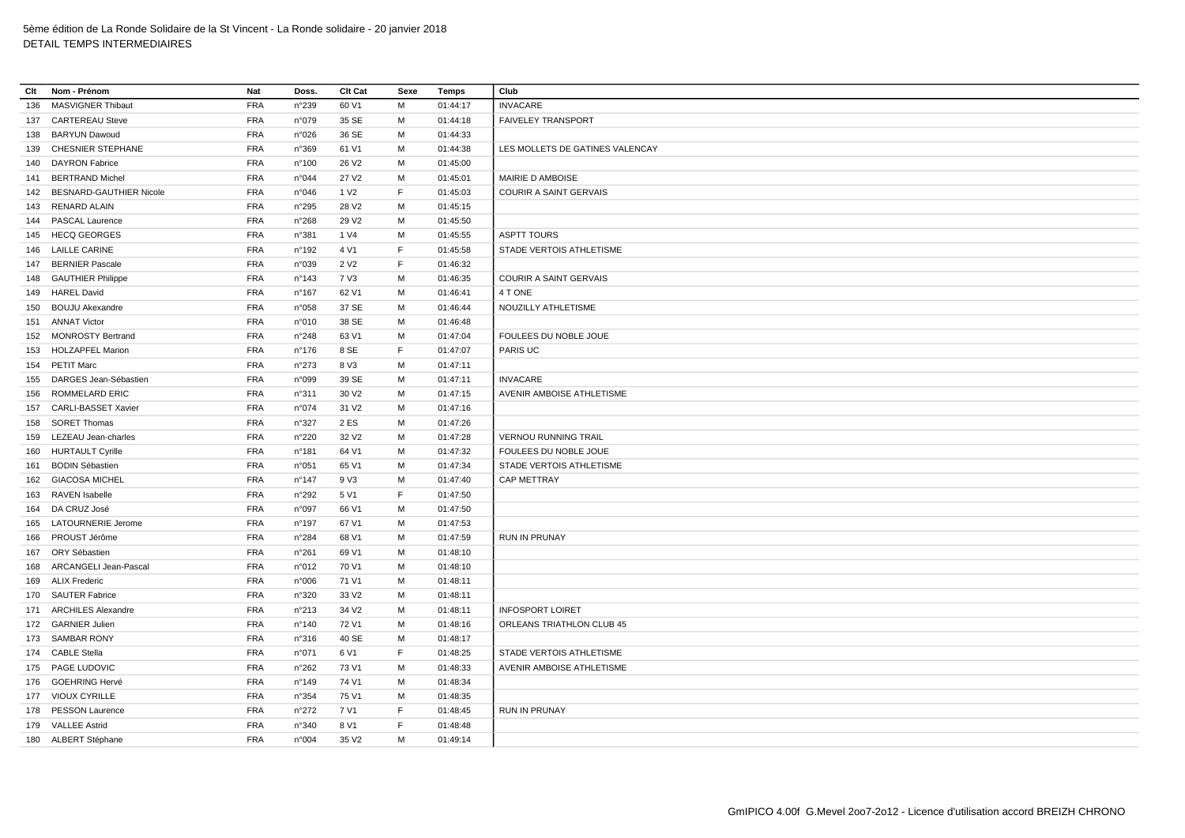| Clt | Nom - Prénom                | Nat        | Doss.           | Clt Cat           | Sexe | <b>Temps</b> | Club                             |
|-----|-----------------------------|------------|-----------------|-------------------|------|--------------|----------------------------------|
| 136 | <b>MASVIGNER Thibaut</b>    | <b>FRA</b> | n°239           | 60 V1             | M    | 01:44:17     | <b>INVACARE</b>                  |
|     | 137 CARTEREAU Steve         | <b>FRA</b> | n°079           | 35 SE             | M    | 01:44:18     | <b>FAIVELEY TRANSPORT</b>        |
|     | 138 BARYUN Dawoud           | <b>FRA</b> | n°026           | 36 SE             | M    | 01:44:33     |                                  |
|     | 139 CHESNIER STEPHANE       | <b>FRA</b> | n°369           | 61 V1             | M    | 01:44:38     | LES MOLLETS DE GATINES VALENCAY  |
|     | 140 DAYRON Fabrice          | <b>FRA</b> | n°100           | 26 V <sub>2</sub> | M    | 01:45:00     |                                  |
|     | 141 BERTRAND Michel         | <b>FRA</b> | n°044           | 27 V <sub>2</sub> | M    | 01:45:01     | MAIRIE D AMBOISE                 |
|     | 142 BESNARD-GAUTHIER Nicole | <b>FRA</b> | n°046           | 1 V <sub>2</sub>  | F    | 01:45:03     | <b>COURIR A SAINT GERVAIS</b>    |
|     | 143 RENARD ALAIN            | <b>FRA</b> | n°295           | 28 V <sub>2</sub> | M    | 01:45:15     |                                  |
|     | 144 PASCAL Laurence         | <b>FRA</b> | n°268           | 29 V <sub>2</sub> | м    | 01:45:50     |                                  |
|     | 145 HECQ GEORGES            | <b>FRA</b> | n°381           | 1 V4              | M    | 01:45:55     | <b>ASPTT TOURS</b>               |
|     | 146 LAILLE CARINE           | <b>FRA</b> | n°192           | 4 V1              | E    | 01:45:58     | STADE VERTOIS ATHLETISME         |
|     | 147 BERNIER Pascale         | <b>FRA</b> | n°039           | 2 V <sub>2</sub>  | F    | 01:46:32     |                                  |
|     | 148 GAUTHIER Philippe       | <b>FRA</b> | $n^{\circ}$ 143 | 7 V3              | М    | 01:46:35     | <b>COURIR A SAINT GERVAIS</b>    |
|     | 149 HAREL David             | <b>FRA</b> | n°167           | 62 V1             | M    | 01:46:41     | 4 T ONE                          |
|     | 150 BOUJU Akexandre         | <b>FRA</b> | n°058           | 37 SE             | М    | 01:46:44     | NOUZILLY ATHLETISME              |
|     | 151 ANNAT Victor            | <b>FRA</b> | n°010           | 38 SE             | M    | 01:46:48     |                                  |
|     | 152 MONROSTY Bertrand       | <b>FRA</b> | $n^{\circ}248$  | 63 V1             | M    | 01:47:04     | FOULEES DU NOBLE JOUE            |
|     | 153 HOLZAPFEL Marion        | <b>FRA</b> | $n^{\circ}$ 176 | 8 SE              | F    | 01:47:07     | PARIS UC                         |
|     | 154 PETIT Marc              | <b>FRA</b> | n°273           | 8 V3              | М    | 01:47:11     |                                  |
|     | 155 DARGES Jean-Sébastien   | <b>FRA</b> | n°099           | 39 SE             | M    | 01:47:11     | <b>INVACARE</b>                  |
|     | 156 ROMMELARD ERIC          | <b>FRA</b> | n°311           | 30 V <sub>2</sub> | M    | 01:47:15     | AVENIR AMBOISE ATHLETISME        |
|     | 157 CARLI-BASSET Xavier     | <b>FRA</b> | n°074           | 31 V <sub>2</sub> | M    | 01:47:16     |                                  |
|     | 158 SORET Thomas            | <b>FRA</b> | n°327           | 2 ES              | M    | 01:47:26     |                                  |
|     | 159 LEZEAU Jean-charles     | <b>FRA</b> | n°220           | 32 V <sub>2</sub> | M    | 01:47:28     | <b>VERNOU RUNNING TRAIL</b>      |
|     | 160 HURTAULT Cyrille        | <b>FRA</b> | n°181           | 64 V1             | М    | 01:47:32     | FOULEES DU NOBLE JOUE            |
|     | 161 BODIN Sébastien         | <b>FRA</b> | n°051           | 65 V1             | M    | 01:47:34     | STADE VERTOIS ATHLETISME         |
|     | 162 GIACOSA MICHEL          | <b>FRA</b> | n°147           | 9 V3              | M    | 01:47:40     | CAP METTRAY                      |
|     | 163 RAVEN Isabelle          | <b>FRA</b> | n°292           | 5 V1              | F    | 01:47:50     |                                  |
|     | 164 DA CRUZ José            | <b>FRA</b> | n°097           | 66 V1             | м    | 01:47:50     |                                  |
|     | 165 LATOURNERIE Jerome      | <b>FRA</b> | n°197           | 67 V1             | M    | 01:47:53     |                                  |
|     |                             |            |                 |                   |      |              |                                  |
|     | 166 PROUST Jérôme           | <b>FRA</b> | n°284           | 68 V1             | М    | 01:47:59     | <b>RUN IN PRUNAY</b>             |
|     | 167 ORY Sébastien           | <b>FRA</b> | n°261           | 69 V1             | M    | 01:48:10     |                                  |
|     | 168 ARCANGELI Jean-Pascal   | <b>FRA</b> | n°012           | 70 V1             | М    | 01:48:10     |                                  |
|     | 169 ALIX Frederic           | <b>FRA</b> | n°006           | 71 V1             | M    | 01:48:11     |                                  |
|     | 170 SAUTER Fabrice          | <b>FRA</b> | n°320           | 33 V <sub>2</sub> | М    | 01:48:11     |                                  |
|     | 171 ARCHILES Alexandre      | <b>FRA</b> | n°213           | 34 V <sub>2</sub> | M    | 01:48:11     | <b>INFOSPORT LOIRET</b>          |
|     | 172 GARNIER Julien          | <b>FRA</b> | n°140           | 72 V1             | М    | 01:48:16     | ORLEANS TRIATHLON CLUB 45        |
|     | 173 SAMBAR RONY             | <b>FRA</b> | n°316           | 40 SE             | M    | 01:48:17     |                                  |
|     | 174 CABLE Stella            | <b>FRA</b> | n°071           | 6 V1              | F    | 01:48:25     | STADE VERTOIS ATHLETISME         |
|     | 175 PAGE LUDOVIC            | <b>FRA</b> | n°262           | 73 V1             | M    | 01:48:33     | <b>AVENIR AMBOISE ATHLETISME</b> |
|     | 176 GOEHRING Hervé          | <b>FRA</b> | n°149           | 74 V1             | М    | 01:48:34     |                                  |
|     | 177 VIOUX CYRILLE           | <b>FRA</b> | n°354           | 75 V1             | M    | 01:48:35     |                                  |
|     | 178 PESSON Laurence         | <b>FRA</b> | $n^{\circ}272$  | 7 V1              | E    | 01:48:45     | <b>RUN IN PRUNAY</b>             |
|     | 179 VALLEE Astrid           | <b>FRA</b> | n°340           | 8 V1              | E    | 01:48:48     |                                  |
|     | 180 ALBERT Stéphane         | <b>FRA</b> | n°004           | 35 V2             | M    | 01:49:14     |                                  |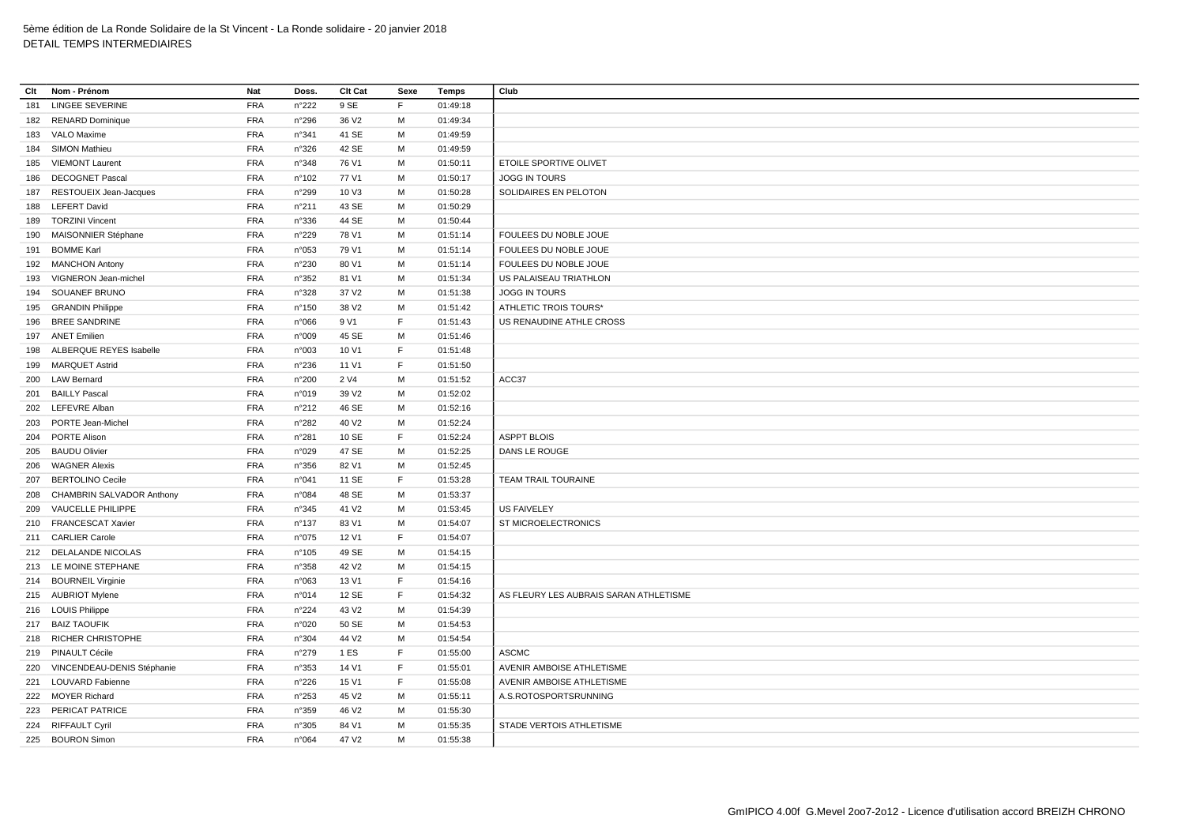| Clt | Nom - Prénom                  | Nat        | Doss.           | Clt Cat           | Sexe | Temps    | Club                                   |
|-----|-------------------------------|------------|-----------------|-------------------|------|----------|----------------------------------------|
| 181 | <b>LINGEE SEVERINE</b>        | <b>FRA</b> | n°222           | 9 SE              | F    | 01:49:18 |                                        |
|     | 182 RENARD Dominique          | <b>FRA</b> | n°296           | 36 V <sub>2</sub> | М    | 01:49:34 |                                        |
|     | 183 VALO Maxime               | <b>FRA</b> | n°341           | 41 SE             | M    | 01:49:59 |                                        |
| 184 | SIMON Mathieu                 | <b>FRA</b> | n°326           | 42 SE             | M    | 01:49:59 |                                        |
|     | 185 VIEMONT Laurent           | <b>FRA</b> | n°348           | 76 V1             | M    | 01:50:11 | ETOILE SPORTIVE OLIVET                 |
| 186 | <b>DECOGNET Pascal</b>        | <b>FRA</b> | $n^{\circ}102$  | 77 V1             | M    | 01:50:17 | <b>JOGG IN TOURS</b>                   |
|     | 187 RESTOUEIX Jean-Jacques    | <b>FRA</b> | n°299           | 10 V3             | M    | 01:50:28 | SOLIDAIRES EN PELOTON                  |
|     | 188 LEFERT David              | <b>FRA</b> | n°211           | 43 SE             | М    | 01:50:29 |                                        |
|     | 189 TORZINI Vincent           | <b>FRA</b> | n°336           | 44 SE             | M    | 01:50:44 |                                        |
| 190 | MAISONNIER Stéphane           | <b>FRA</b> | n°229           | 78 V1             | M    | 01:51:14 | FOULEES DU NOBLE JOUE                  |
| 191 | <b>BOMME Karl</b>             | <b>FRA</b> | n°053           | 79 V1             | M    | 01:51:14 | FOULEES DU NOBLE JOUE                  |
|     | 192 MANCHON Antony            | <b>FRA</b> | n°230           | 80 V1             | M    | 01:51:14 | FOULEES DU NOBLE JOUE                  |
| 193 | VIGNERON Jean-michel          | FRA        | n°352           | 81 V1             | M    | 01:51:34 | US PALAISEAU TRIATHLON                 |
| 194 | SOUANEF BRUNO                 | <b>FRA</b> | n°328           | 37 V <sub>2</sub> | М    | 01:51:38 | JOGG IN TOURS                          |
|     | 195 GRANDIN Philippe          | <b>FRA</b> | n°150           | 38 V <sub>2</sub> | M    | 01:51:42 | ATHLETIC TROIS TOURS*                  |
|     | 196 BREE SANDRINE             | <b>FRA</b> | n°066           | 9 V1              | F    | 01:51:43 | US RENAUDINE ATHLE CROSS               |
|     | 197 ANET Emilien              | <b>FRA</b> | n°009           | 45 SE             | M    | 01:51:46 |                                        |
|     | 198 ALBERQUE REYES Isabelle   | <b>FRA</b> | n°003           | 10 V1             | F    | 01:51:48 |                                        |
| 199 | <b>MARQUET Astrid</b>         | <b>FRA</b> | $n^{\circ}236$  | 11 V1             | F    | 01:51:50 |                                        |
|     | 200 LAW Bernard               | <b>FRA</b> | n°200           | 2 V4              | М    | 01:51:52 | ACC37                                  |
| 201 | <b>BAILLY Pascal</b>          | <b>FRA</b> | n°019           | 39 V <sub>2</sub> | М    | 01:52:02 |                                        |
|     | 202 LEFEVRE Alban             | <b>FRA</b> | n°212           | 46 SE             | M    | 01:52:16 |                                        |
| 203 | PORTE Jean-Michel             | <b>FRA</b> | n°282           | 40 V <sub>2</sub> | M    | 01:52:24 |                                        |
|     | 204 PORTE Alison              | <b>FRA</b> | n°281           | 10 SE             | F    | 01:52:24 | <b>ASPPT BLOIS</b>                     |
| 205 | <b>BAUDU Olivier</b>          | <b>FRA</b> | n°029           | 47 SE             | М    | 01:52:25 | DANS LE ROUGE                          |
|     | 206 WAGNER Alexis             | <b>FRA</b> | n°356           | 82 V1             | M    | 01:52:45 |                                        |
| 207 | <b>BERTOLINO Cecile</b>       | <b>FRA</b> | n°041           | 11 SE             | F    | 01:53:28 | <b>TEAM TRAIL TOURAINE</b>             |
|     | 208 CHAMBRIN SALVADOR Anthony | <b>FRA</b> | n°084           | 48 SE             | M    | 01:53:37 |                                        |
| 209 | VAUCELLE PHILIPPE             | <b>FRA</b> | n°345           | 41 V <sub>2</sub> | M    | 01:53:45 | <b>US FAIVELEY</b>                     |
|     | 210 FRANCESCAT Xavier         | <b>FRA</b> | $n^{\circ}$ 137 | 83 V1             | M    | 01:54:07 | ST MICROELECTRONICS                    |
|     | 211 CARLIER Carole            | <b>FRA</b> | n°075           | 12 V1             | F    | 01:54:07 |                                        |
|     | 212 DELALANDE NICOLAS         | <b>FRA</b> | n°105           | 49 SE             | M    | 01:54:15 |                                        |
|     | 213 LE MOINE STEPHANE         | <b>FRA</b> | n°358           | 42 V <sub>2</sub> | М    | 01:54:15 |                                        |
|     | 214 BOURNEIL Virginie         | <b>FRA</b> | n°063           | 13 V1             | F.   | 01:54:16 |                                        |
|     | 215 AUBRIOT Mylene            | <b>FRA</b> | n°014           | 12 SE             | F    | 01:54:32 | AS FLEURY LES AUBRAIS SARAN ATHLETISME |
|     | 216 LOUIS Philippe            | <b>FRA</b> | n°224           | 43 V <sub>2</sub> | M    | 01:54:39 |                                        |
|     | 217 BAIZ TAOUFIK              | <b>FRA</b> | n°020           | 50 SE             | M    | 01:54:53 |                                        |
|     | 218 RICHER CHRISTOPHE         | <b>FRA</b> | n°304           | 44 V <sub>2</sub> | M    | 01:54:54 |                                        |
|     | 219 PINAULT Cécile            | <b>FRA</b> | n°279           | 1 ES              | F    | 01:55:00 | <b>ASCMC</b>                           |
| 220 | VINCENDEAU-DENIS Stéphanie    | <b>FRA</b> | n°353           | 14 V1             | F    | 01:55:01 | AVENIR AMBOISE ATHLETISME              |
|     | 221 LOUVARD Fabienne          | <b>FRA</b> | n°226           | 15 V1             | F    | 01:55:08 | AVENIR AMBOISE ATHLETISME              |
|     | 222 MOYER Richard             | <b>FRA</b> | n°253           | 45 V <sub>2</sub> | M    | 01:55:11 | A.S.ROTOSPORTSRUNNING                  |
| 223 | PERICAT PATRICE               | <b>FRA</b> | n°359           | 46 V <sub>2</sub> | M    | 01:55:30 |                                        |
|     | 224 RIFFAULT Cyril            | <b>FRA</b> | n°305           | 84 V1             | M    | 01:55:35 | STADE VERTOIS ATHLETISME               |
|     | 225 BOURON Simon              | <b>FRA</b> | n°064           | 47 V2             | M    | 01:55:38 |                                        |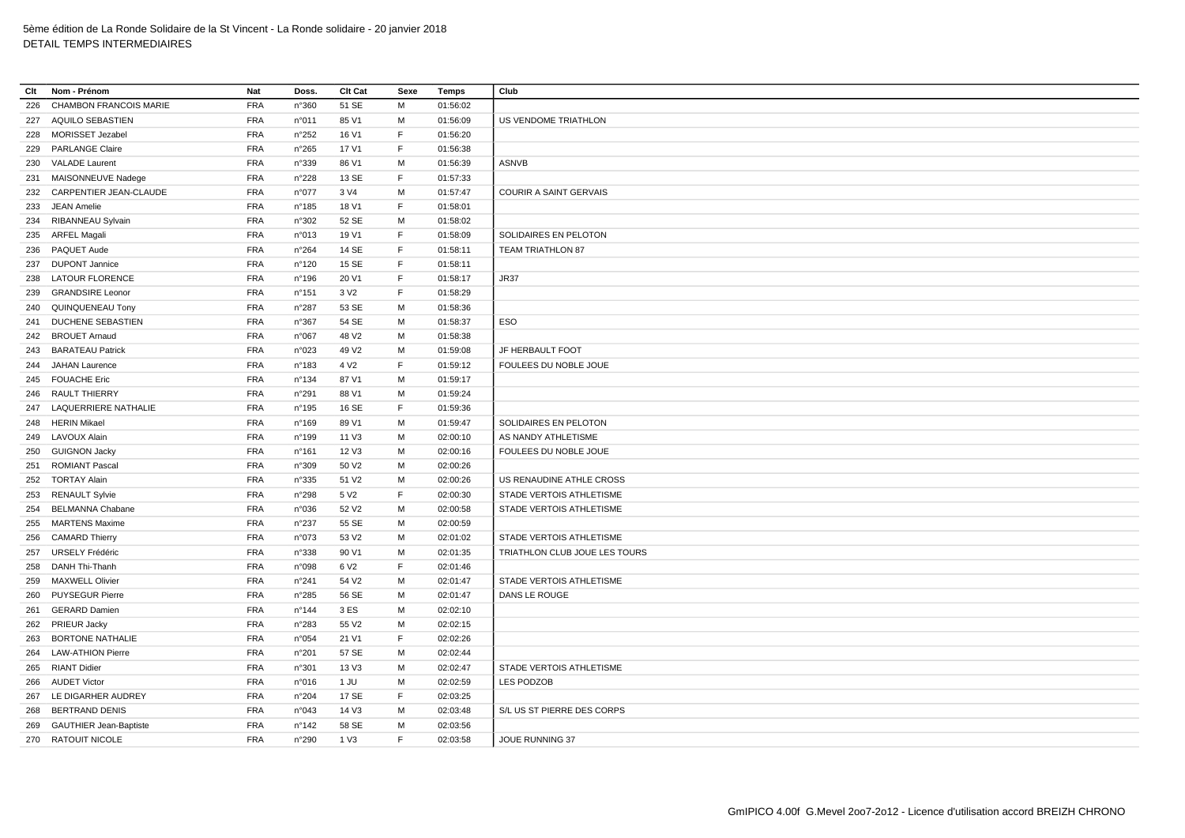| Clt | Nom - Prénom                  | Nat        | Doss.           | Clt Cat           | Sexe         | Temps                | Club                          |
|-----|-------------------------------|------------|-----------------|-------------------|--------------|----------------------|-------------------------------|
| 226 | <b>CHAMBON FRANCOIS MARIE</b> | <b>FRA</b> | n°360           | 51 SE             | M            | 01:56:02             |                               |
|     | 227 AQUILO SEBASTIEN          | <b>FRA</b> | n°011           | 85 V1             | M            | 01:56:09             | <b>US VENDOME TRIATHLON</b>   |
| 228 | MORISSET Jezabel              | <b>FRA</b> | n°252           | 16 V1             | E            | 01:56:20             |                               |
| 229 | <b>PARLANGE Claire</b>        | <b>FRA</b> | n°265           | 17 V1             | $\mathsf F$  | 01:56:38             |                               |
| 230 | <b>VALADE Laurent</b>         | <b>FRA</b> | n°339           | 86 V1             | м            | 01:56:39             | <b>ASNVB</b>                  |
|     | 231 MAISONNEUVE Nadege        | <b>FRA</b> | n°228           | 13 SE             | $\mathsf F$  | 01:57:33             |                               |
| 232 | CARPENTIER JEAN-CLAUDE        | <b>FRA</b> | n°077           | 3 V4              | M            | 01:57:47             | <b>COURIR A SAINT GERVAIS</b> |
| 233 | <b>JEAN Amelie</b>            | <b>FRA</b> | n°185           | 18 V1             | E            | 01:58:01             |                               |
| 234 | <b>RIBANNEAU Sylvain</b>      | <b>FRA</b> | n°302           | 52 SE             | M            | 01:58:02             |                               |
|     | 235 ARFEL Magali              | <b>FRA</b> | n°013           | 19 V1             | F            | 01:58:09             | SOLIDAIRES EN PELOTON         |
| 236 | PAQUET Aude                   | <b>FRA</b> | n°264           | 14 SE             | $\mathsf F$  | 01:58:11             | TEAM TRIATHLON 87             |
|     | 237 DUPONT Jannice            | <b>FRA</b> | n°120           | 15 SE             | F            | 01:58:11             |                               |
| 238 | <b>LATOUR FLORENCE</b>        | <b>FRA</b> | n°196           | 20 V1             | $\mathsf F$  | 01:58:17             | JR37                          |
| 239 | <b>GRANDSIRE Leonor</b>       | <b>FRA</b> | n°151           | 3 V <sub>2</sub>  | $\mathsf{F}$ | 01:58:29             |                               |
|     | 240 QUINQUENEAU Tony          | <b>FRA</b> | n°287           | 53 SE             | M            | 01:58:36             |                               |
| 241 | <b>DUCHENE SEBASTIEN</b>      | <b>FRA</b> | n°367           | 54 SE             | M            | 01:58:37             | ESO                           |
|     | 242 BROUET Arnaud             | <b>FRA</b> | n°067           | 48 V2             | M            | 01:58:38             |                               |
| 243 | <b>BARATEAU Patrick</b>       | <b>FRA</b> | n°023           | 49 V <sub>2</sub> | м            | 01:59:08             | JF HERBAULT FOOT              |
| 244 | <b>JAHAN Laurence</b>         | <b>FRA</b> | n°183           | 4 V <sub>2</sub>  | $\mathsf F$  | 01:59:12             | FOULEES DU NOBLE JOUE         |
|     | 245 FOUACHE Eric              | <b>FRA</b> | $n^{\circ}$ 134 | 87 V1             | M            | 01:59:17             |                               |
|     | 246 RAULT THIERRY             | <b>FRA</b> | n°291           | 88 V1             | M            | 01:59:24             |                               |
|     | LAQUERRIERE NATHALIE          | <b>FRA</b> | n°195           | 16 SE             | F            | 01:59:36             |                               |
| 247 | 248 HERIN Mikael              | <b>FRA</b> | n°169           | 89 V1             | M            |                      | SOLIDAIRES EN PELOTON         |
|     | <b>LAVOUX Alain</b>           | <b>FRA</b> | n°199           | 11 V3             | M            | 01:59:47<br>02:00:10 | AS NANDY ATHLETISME           |
| 249 |                               |            |                 |                   |              |                      |                               |
|     | 250 GUIGNON Jacky             | <b>FRA</b> | n°161           | 12 V3             | м            | 02:00:16             | FOULEES DU NOBLE JOUE         |
| 251 | <b>ROMIANT Pascal</b>         | <b>FRA</b> | n°309           | 50 V2             | M            | 02:00:26             |                               |
| 252 | <b>TORTAY Alain</b>           | <b>FRA</b> | n°335           | 51 V <sub>2</sub> | M            | 02:00:26             | US RENAUDINE ATHLE CROSS      |
| 253 | <b>RENAULT Sylvie</b>         | <b>FRA</b> | n°298           | 5 V <sub>2</sub>  | $\mathsf F$  | 02:00:30             | STADE VERTOIS ATHLETISME      |
| 254 | BELMANNA Chabane              | <b>FRA</b> | n°036           | 52 V <sub>2</sub> | M            | 02:00:58             | STADE VERTOIS ATHLETISME      |
| 255 | <b>MARTENS Maxime</b>         | <b>FRA</b> | n°237           | 55 SE             | M            | 02:00:59             |                               |
| 256 | <b>CAMARD Thierry</b>         | <b>FRA</b> | n°073           | 53 V2             | M            | 02:01:02             | STADE VERTOIS ATHLETISME      |
|     | 257 URSELY Frédéric           | <b>FRA</b> | n°338           | 90 V1             | М            | 02:01:35             | TRIATHLON CLUB JOUE LES TOURS |
| 258 | DANH Thi-Thanh                | <b>FRA</b> | n°098           | 6 V <sub>2</sub>  | F            | 02:01:46             |                               |
| 259 | <b>MAXWELL Olivier</b>        | <b>FRA</b> | n°241           | 54 V2             | M            | 02:01:47             | STADE VERTOIS ATHLETISME      |
| 260 | <b>PUYSEGUR Pierre</b>        | <b>FRA</b> | n°285           | 56 SE             | м            | 02:01:47             | DANS LE ROUGE                 |
| 261 | <b>GERARD Damien</b>          | <b>FRA</b> | $n^{\circ}$ 144 | 3 ES              | м            | 02:02:10             |                               |
| 262 | <b>PRIEUR Jacky</b>           | <b>FRA</b> | n°283           | 55 V2             | M            | 02:02:15             |                               |
| 263 | <b>BORTONE NATHALIE</b>       | FRA        | n°054           | 21 V1             | F            | 02:02:26             |                               |
| 264 | <b>LAW-ATHION Pierre</b>      | <b>FRA</b> | n°201           | 57 SE             | М            | 02:02:44             |                               |
| 265 | <b>RIANT Didier</b>           | <b>FRA</b> | n°301           | 13 V3             | м            | 02:02:47             | STADE VERTOIS ATHLETISME      |
| 266 | <b>AUDET Victor</b>           | <b>FRA</b> | n°016           | 1 JU              | M            | 02:02:59             | <b>LES PODZOB</b>             |
|     | 267 LE DIGARHER AUDREY        | <b>FRA</b> | n°204           | 17 SE             | E            | 02:03:25             |                               |
| 268 | <b>BERTRAND DENIS</b>         | <b>FRA</b> | n°043           | 14 V3             | M            | 02:03:48             | S/L US ST PIERRE DES CORPS    |
|     | 269 GAUTHIER Jean-Baptiste    | <b>FRA</b> | n°142           | 58 SE             | м            | 02:03:56             |                               |
|     | 270 RATOUIT NICOLE            | <b>FRA</b> | n°290           | 1 V <sub>3</sub>  | E            | 02:03:58             | JOUE RUNNING 37               |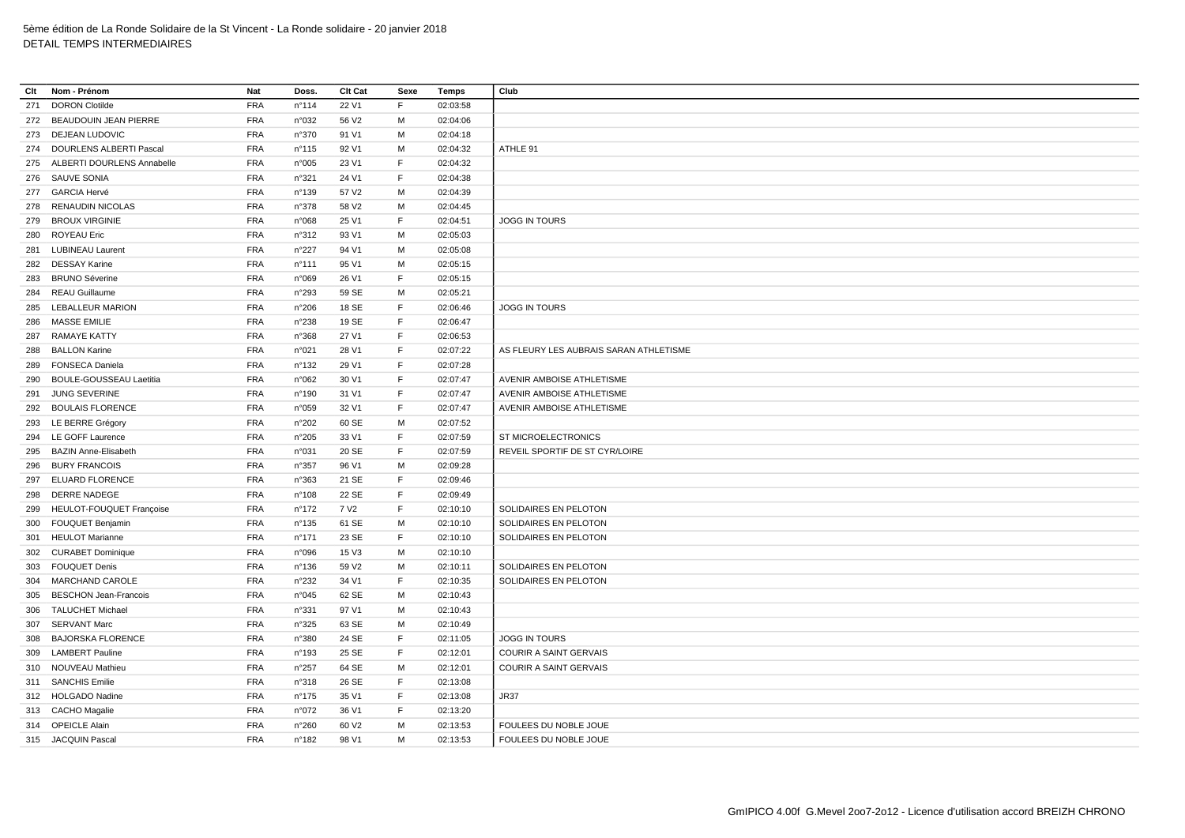| <b>FRA</b><br><b>DORON Clotilde</b><br>$n^{\circ}114$<br>22 V1<br>F<br>02:03:58<br>271<br><b>FRA</b><br>56 V2<br>M<br>272 BEAUDOUIN JEAN PIERRE<br>n°032<br>02:04:06<br><b>FRA</b><br>273 DEJEAN LUDOVIC<br>n°370<br>91 V1<br>M<br>02:04:18<br><b>FRA</b><br>M<br>ATHLE 91<br>274 DOURLENS ALBERTI Pascal<br>n°115<br>92 V1<br>02:04:32<br>275 ALBERTI DOURLENS Annabelle<br><b>FRA</b><br>n°005<br>23 V1<br>F<br>02:04:32<br><b>FRA</b><br>E<br>276 SAUVE SONIA<br>n°321<br>24 V1<br>02:04:38<br>277 GARCIA Hervé<br><b>FRA</b><br>57 V2<br>M<br>02:04:39<br>n°139<br>RENAUDIN NICOLAS<br><b>FRA</b><br>M<br>n°378<br>58 V <sub>2</sub><br>02:04:45<br>278<br><b>FRA</b><br><b>BROUX VIRGINIE</b><br>n°068<br>25 V1<br>F<br>02:04:51<br><b>JOGG IN TOURS</b><br>279<br><b>ROYEAU Eric</b><br><b>FRA</b><br>93 V1<br>M<br>02:05:03<br>280<br>n°312<br><b>FRA</b><br>M<br><b>LUBINEAU Laurent</b><br>$n^{\circ}227$<br>94 V1<br>02:05:08<br>281<br><b>FRA</b><br><b>DESSAY Karine</b><br>M<br>02:05:15<br>282<br>$n^{\circ}$ 111<br>95 V1<br><b>FRA</b><br>F<br><b>BRUNO Séverine</b><br>n°069<br>26 V1<br>02:05:15<br>283<br><b>FRA</b><br><b>REAU Guillaume</b><br>n°293<br>59 SE<br>M<br>02:05:21<br>284<br><b>FRA</b><br>E<br>LEBALLEUR MARION<br>n°206<br>18 SE<br>02:06:46<br>JOGG IN TOURS<br>285<br><b>MASSE EMILIE</b><br><b>FRA</b><br>n°238<br>19 SE<br>F<br>02:06:47<br>286<br><b>FRA</b><br>$\mathsf F$<br><b>RAMAYE KATTY</b><br>n°368<br>27 V1<br>02:06:53<br>287<br><b>BALLON Karine</b><br><b>FRA</b><br>F<br>02:07:22<br>AS FLEURY LES AUBRAIS SARAN ATHLETISME<br>n°021<br>28 V1<br>288<br><b>FRA</b><br>E<br><b>FONSECA Daniela</b><br>$n^{\circ}$ 132<br>29 V1<br>02:07:28<br>289<br><b>BOULE-GOUSSEAU Laetitia</b><br><b>FRA</b><br>F<br>02:07:47<br>AVENIR AMBOISE ATHLETISME<br>290<br>n°062<br>30 V1<br><b>FRA</b><br>F<br><b>JUNG SEVERINE</b><br>31 V1<br>02:07:47<br>AVENIR AMBOISE ATHLETISME<br>$n^{\circ}$ 190<br>291<br>292 BOULAIS FLORENCE<br><b>FRA</b><br>32 V1<br>F<br>02:07:47<br>AVENIR AMBOISE ATHLETISME<br>n°059<br><b>FRA</b><br>293 LE BERRE Grégory<br>60 SE<br>M<br>02:07:52<br>n°202<br><b>FRA</b><br>E<br>294 LE GOFF Laurence<br>n°205<br>33 V1<br>02:07:59<br>ST MICROELECTRONICS<br><b>FRA</b><br>F<br><b>BAZIN Anne-Elisabeth</b><br>20 SE<br>REVEIL SPORTIF DE ST CYR/LOIRE<br>n°031<br>02:07:59<br>295<br><b>FRA</b><br><b>BURY FRANCOIS</b><br>n°357<br>96 V1<br>M<br>02:09:28<br>296<br>ELUARD FLORENCE<br><b>FRA</b><br>21 SE<br>$\mathsf F$<br>02:09:46<br>n°363<br>297<br><b>FRA</b><br>E<br><b>DERRE NADEGE</b><br>22 SE<br>02:09:49<br>298<br>$n^{\circ}$ 108<br>HEULOT-FOUQUET Françoise<br><b>FRA</b><br>7 V <sub>2</sub><br>F<br>02:10:10<br>n°172<br>SOLIDAIRES EN PELOTON<br>299<br><b>FRA</b><br>M<br><b>FOUQUET Benjamin</b><br>61 SE<br>SOLIDAIRES EN PELOTON<br>300<br>$n^{\circ}$ 135<br>02:10:10<br><b>HEULOT Marianne</b><br><b>FRA</b><br>23 SE<br>$\mathsf F$<br>SOLIDAIRES EN PELOTON<br>$n^{\circ}$ 171<br>02:10:10<br>301<br><b>FRA</b><br>15 V3<br>M<br>302 CURABET Dominique<br>n°096<br>02:10:10<br><b>FRA</b><br>M<br><b>FOUQUET Denis</b><br>$n^{\circ}$ 136<br>59 V2<br>02:10:11<br>SOLIDAIRES EN PELOTON<br>303<br><b>FRA</b><br><b>MARCHAND CAROLE</b><br>34 V1<br>F<br>02:10:35<br>SOLIDAIRES EN PELOTON<br>n°232<br>304<br><b>FRA</b><br><b>BESCHON Jean-Francois</b><br>n°045<br>62 SE<br>M<br>02:10:43<br>305<br><b>FRA</b><br>M<br><b>TALUCHET Michael</b><br>n°331<br>97 V1<br>02:10:43<br>306<br><b>SERVANT Marc</b><br><b>FRA</b><br>n°325<br>63 SE<br>M<br>02:10:49<br>307<br><b>FRA</b><br><b>BAJORSKA FLORENCE</b><br>24 SE<br>F<br>n°380<br>02:11:05<br><b>JOGG IN TOURS</b><br>308<br><b>FRA</b><br>F<br><b>LAMBERT Pauline</b><br>25 SE<br>02:12:01<br><b>COURIR A SAINT GERVAIS</b><br>309<br>$n^{\circ}$ 193<br><b>FRA</b><br>64 SE<br>02:12:01<br>COURIR A SAINT GERVAIS<br>NOUVEAU Mathieu<br>n°257<br>M<br>310<br>311 SANCHIS Emilie<br><b>FRA</b><br>26 SE<br>F<br>n°318<br>02:13:08<br>312 HOLGADO Nadine<br><b>FRA</b><br>$\mathsf F$<br>n°175<br>35 V1<br>02:13:08<br>JR37<br>F<br>313 CACHO Magalie<br><b>FRA</b><br>n°072<br>36 V1<br>02:13:20<br><b>FRA</b><br>314 OPEICLE Alain<br>n°260<br>60 V <sub>2</sub><br>M<br>02:13:53<br>FOULEES DU NOBLE JOUE<br><b>FRA</b><br>315 JACQUIN Pascal<br>$n^{\circ}$ 182<br>98 V1<br>M<br>02:13:53<br>FOULEES DU NOBLE JOUE | Clt | Nom - Prénom | Nat | Doss. | Clt Cat | Sexe | <b>Temps</b> | Club |
|-----------------------------------------------------------------------------------------------------------------------------------------------------------------------------------------------------------------------------------------------------------------------------------------------------------------------------------------------------------------------------------------------------------------------------------------------------------------------------------------------------------------------------------------------------------------------------------------------------------------------------------------------------------------------------------------------------------------------------------------------------------------------------------------------------------------------------------------------------------------------------------------------------------------------------------------------------------------------------------------------------------------------------------------------------------------------------------------------------------------------------------------------------------------------------------------------------------------------------------------------------------------------------------------------------------------------------------------------------------------------------------------------------------------------------------------------------------------------------------------------------------------------------------------------------------------------------------------------------------------------------------------------------------------------------------------------------------------------------------------------------------------------------------------------------------------------------------------------------------------------------------------------------------------------------------------------------------------------------------------------------------------------------------------------------------------------------------------------------------------------------------------------------------------------------------------------------------------------------------------------------------------------------------------------------------------------------------------------------------------------------------------------------------------------------------------------------------------------------------------------------------------------------------------------------------------------------------------------------------------------------------------------------------------------------------------------------------------------------------------------------------------------------------------------------------------------------------------------------------------------------------------------------------------------------------------------------------------------------------------------------------------------------------------------------------------------------------------------------------------------------------------------------------------------------------------------------------------------------------------------------------------------------------------------------------------------------------------------------------------------------------------------------------------------------------------------------------------------------------------------------------------------------------------------------------------------------------------------------------------------------------------------------------------------------------------------------------------------------------------------------------------------------------------------------------------------------------------------------------------------------------------------------------------------------------------------------------------------------------------------------------------------------------------------------------------------------------------------------------------------------------------------------------------------------------------------------------------------------------------------------------------------------------------------------------------------------------------------------------------------------------|-----|--------------|-----|-------|---------|------|--------------|------|
|                                                                                                                                                                                                                                                                                                                                                                                                                                                                                                                                                                                                                                                                                                                                                                                                                                                                                                                                                                                                                                                                                                                                                                                                                                                                                                                                                                                                                                                                                                                                                                                                                                                                                                                                                                                                                                                                                                                                                                                                                                                                                                                                                                                                                                                                                                                                                                                                                                                                                                                                                                                                                                                                                                                                                                                                                                                                                                                                                                                                                                                                                                                                                                                                                                                                                                                                                                                                                                                                                                                                                                                                                                                                                                                                                                                                                                                                                                                                                                                                                                                                                                                                                                                                                                                                                                                                                                                   |     |              |     |       |         |      |              |      |
|                                                                                                                                                                                                                                                                                                                                                                                                                                                                                                                                                                                                                                                                                                                                                                                                                                                                                                                                                                                                                                                                                                                                                                                                                                                                                                                                                                                                                                                                                                                                                                                                                                                                                                                                                                                                                                                                                                                                                                                                                                                                                                                                                                                                                                                                                                                                                                                                                                                                                                                                                                                                                                                                                                                                                                                                                                                                                                                                                                                                                                                                                                                                                                                                                                                                                                                                                                                                                                                                                                                                                                                                                                                                                                                                                                                                                                                                                                                                                                                                                                                                                                                                                                                                                                                                                                                                                                                   |     |              |     |       |         |      |              |      |
|                                                                                                                                                                                                                                                                                                                                                                                                                                                                                                                                                                                                                                                                                                                                                                                                                                                                                                                                                                                                                                                                                                                                                                                                                                                                                                                                                                                                                                                                                                                                                                                                                                                                                                                                                                                                                                                                                                                                                                                                                                                                                                                                                                                                                                                                                                                                                                                                                                                                                                                                                                                                                                                                                                                                                                                                                                                                                                                                                                                                                                                                                                                                                                                                                                                                                                                                                                                                                                                                                                                                                                                                                                                                                                                                                                                                                                                                                                                                                                                                                                                                                                                                                                                                                                                                                                                                                                                   |     |              |     |       |         |      |              |      |
|                                                                                                                                                                                                                                                                                                                                                                                                                                                                                                                                                                                                                                                                                                                                                                                                                                                                                                                                                                                                                                                                                                                                                                                                                                                                                                                                                                                                                                                                                                                                                                                                                                                                                                                                                                                                                                                                                                                                                                                                                                                                                                                                                                                                                                                                                                                                                                                                                                                                                                                                                                                                                                                                                                                                                                                                                                                                                                                                                                                                                                                                                                                                                                                                                                                                                                                                                                                                                                                                                                                                                                                                                                                                                                                                                                                                                                                                                                                                                                                                                                                                                                                                                                                                                                                                                                                                                                                   |     |              |     |       |         |      |              |      |
|                                                                                                                                                                                                                                                                                                                                                                                                                                                                                                                                                                                                                                                                                                                                                                                                                                                                                                                                                                                                                                                                                                                                                                                                                                                                                                                                                                                                                                                                                                                                                                                                                                                                                                                                                                                                                                                                                                                                                                                                                                                                                                                                                                                                                                                                                                                                                                                                                                                                                                                                                                                                                                                                                                                                                                                                                                                                                                                                                                                                                                                                                                                                                                                                                                                                                                                                                                                                                                                                                                                                                                                                                                                                                                                                                                                                                                                                                                                                                                                                                                                                                                                                                                                                                                                                                                                                                                                   |     |              |     |       |         |      |              |      |
|                                                                                                                                                                                                                                                                                                                                                                                                                                                                                                                                                                                                                                                                                                                                                                                                                                                                                                                                                                                                                                                                                                                                                                                                                                                                                                                                                                                                                                                                                                                                                                                                                                                                                                                                                                                                                                                                                                                                                                                                                                                                                                                                                                                                                                                                                                                                                                                                                                                                                                                                                                                                                                                                                                                                                                                                                                                                                                                                                                                                                                                                                                                                                                                                                                                                                                                                                                                                                                                                                                                                                                                                                                                                                                                                                                                                                                                                                                                                                                                                                                                                                                                                                                                                                                                                                                                                                                                   |     |              |     |       |         |      |              |      |
|                                                                                                                                                                                                                                                                                                                                                                                                                                                                                                                                                                                                                                                                                                                                                                                                                                                                                                                                                                                                                                                                                                                                                                                                                                                                                                                                                                                                                                                                                                                                                                                                                                                                                                                                                                                                                                                                                                                                                                                                                                                                                                                                                                                                                                                                                                                                                                                                                                                                                                                                                                                                                                                                                                                                                                                                                                                                                                                                                                                                                                                                                                                                                                                                                                                                                                                                                                                                                                                                                                                                                                                                                                                                                                                                                                                                                                                                                                                                                                                                                                                                                                                                                                                                                                                                                                                                                                                   |     |              |     |       |         |      |              |      |
|                                                                                                                                                                                                                                                                                                                                                                                                                                                                                                                                                                                                                                                                                                                                                                                                                                                                                                                                                                                                                                                                                                                                                                                                                                                                                                                                                                                                                                                                                                                                                                                                                                                                                                                                                                                                                                                                                                                                                                                                                                                                                                                                                                                                                                                                                                                                                                                                                                                                                                                                                                                                                                                                                                                                                                                                                                                                                                                                                                                                                                                                                                                                                                                                                                                                                                                                                                                                                                                                                                                                                                                                                                                                                                                                                                                                                                                                                                                                                                                                                                                                                                                                                                                                                                                                                                                                                                                   |     |              |     |       |         |      |              |      |
|                                                                                                                                                                                                                                                                                                                                                                                                                                                                                                                                                                                                                                                                                                                                                                                                                                                                                                                                                                                                                                                                                                                                                                                                                                                                                                                                                                                                                                                                                                                                                                                                                                                                                                                                                                                                                                                                                                                                                                                                                                                                                                                                                                                                                                                                                                                                                                                                                                                                                                                                                                                                                                                                                                                                                                                                                                                                                                                                                                                                                                                                                                                                                                                                                                                                                                                                                                                                                                                                                                                                                                                                                                                                                                                                                                                                                                                                                                                                                                                                                                                                                                                                                                                                                                                                                                                                                                                   |     |              |     |       |         |      |              |      |
|                                                                                                                                                                                                                                                                                                                                                                                                                                                                                                                                                                                                                                                                                                                                                                                                                                                                                                                                                                                                                                                                                                                                                                                                                                                                                                                                                                                                                                                                                                                                                                                                                                                                                                                                                                                                                                                                                                                                                                                                                                                                                                                                                                                                                                                                                                                                                                                                                                                                                                                                                                                                                                                                                                                                                                                                                                                                                                                                                                                                                                                                                                                                                                                                                                                                                                                                                                                                                                                                                                                                                                                                                                                                                                                                                                                                                                                                                                                                                                                                                                                                                                                                                                                                                                                                                                                                                                                   |     |              |     |       |         |      |              |      |
|                                                                                                                                                                                                                                                                                                                                                                                                                                                                                                                                                                                                                                                                                                                                                                                                                                                                                                                                                                                                                                                                                                                                                                                                                                                                                                                                                                                                                                                                                                                                                                                                                                                                                                                                                                                                                                                                                                                                                                                                                                                                                                                                                                                                                                                                                                                                                                                                                                                                                                                                                                                                                                                                                                                                                                                                                                                                                                                                                                                                                                                                                                                                                                                                                                                                                                                                                                                                                                                                                                                                                                                                                                                                                                                                                                                                                                                                                                                                                                                                                                                                                                                                                                                                                                                                                                                                                                                   |     |              |     |       |         |      |              |      |
|                                                                                                                                                                                                                                                                                                                                                                                                                                                                                                                                                                                                                                                                                                                                                                                                                                                                                                                                                                                                                                                                                                                                                                                                                                                                                                                                                                                                                                                                                                                                                                                                                                                                                                                                                                                                                                                                                                                                                                                                                                                                                                                                                                                                                                                                                                                                                                                                                                                                                                                                                                                                                                                                                                                                                                                                                                                                                                                                                                                                                                                                                                                                                                                                                                                                                                                                                                                                                                                                                                                                                                                                                                                                                                                                                                                                                                                                                                                                                                                                                                                                                                                                                                                                                                                                                                                                                                                   |     |              |     |       |         |      |              |      |
|                                                                                                                                                                                                                                                                                                                                                                                                                                                                                                                                                                                                                                                                                                                                                                                                                                                                                                                                                                                                                                                                                                                                                                                                                                                                                                                                                                                                                                                                                                                                                                                                                                                                                                                                                                                                                                                                                                                                                                                                                                                                                                                                                                                                                                                                                                                                                                                                                                                                                                                                                                                                                                                                                                                                                                                                                                                                                                                                                                                                                                                                                                                                                                                                                                                                                                                                                                                                                                                                                                                                                                                                                                                                                                                                                                                                                                                                                                                                                                                                                                                                                                                                                                                                                                                                                                                                                                                   |     |              |     |       |         |      |              |      |
|                                                                                                                                                                                                                                                                                                                                                                                                                                                                                                                                                                                                                                                                                                                                                                                                                                                                                                                                                                                                                                                                                                                                                                                                                                                                                                                                                                                                                                                                                                                                                                                                                                                                                                                                                                                                                                                                                                                                                                                                                                                                                                                                                                                                                                                                                                                                                                                                                                                                                                                                                                                                                                                                                                                                                                                                                                                                                                                                                                                                                                                                                                                                                                                                                                                                                                                                                                                                                                                                                                                                                                                                                                                                                                                                                                                                                                                                                                                                                                                                                                                                                                                                                                                                                                                                                                                                                                                   |     |              |     |       |         |      |              |      |
|                                                                                                                                                                                                                                                                                                                                                                                                                                                                                                                                                                                                                                                                                                                                                                                                                                                                                                                                                                                                                                                                                                                                                                                                                                                                                                                                                                                                                                                                                                                                                                                                                                                                                                                                                                                                                                                                                                                                                                                                                                                                                                                                                                                                                                                                                                                                                                                                                                                                                                                                                                                                                                                                                                                                                                                                                                                                                                                                                                                                                                                                                                                                                                                                                                                                                                                                                                                                                                                                                                                                                                                                                                                                                                                                                                                                                                                                                                                                                                                                                                                                                                                                                                                                                                                                                                                                                                                   |     |              |     |       |         |      |              |      |
|                                                                                                                                                                                                                                                                                                                                                                                                                                                                                                                                                                                                                                                                                                                                                                                                                                                                                                                                                                                                                                                                                                                                                                                                                                                                                                                                                                                                                                                                                                                                                                                                                                                                                                                                                                                                                                                                                                                                                                                                                                                                                                                                                                                                                                                                                                                                                                                                                                                                                                                                                                                                                                                                                                                                                                                                                                                                                                                                                                                                                                                                                                                                                                                                                                                                                                                                                                                                                                                                                                                                                                                                                                                                                                                                                                                                                                                                                                                                                                                                                                                                                                                                                                                                                                                                                                                                                                                   |     |              |     |       |         |      |              |      |
|                                                                                                                                                                                                                                                                                                                                                                                                                                                                                                                                                                                                                                                                                                                                                                                                                                                                                                                                                                                                                                                                                                                                                                                                                                                                                                                                                                                                                                                                                                                                                                                                                                                                                                                                                                                                                                                                                                                                                                                                                                                                                                                                                                                                                                                                                                                                                                                                                                                                                                                                                                                                                                                                                                                                                                                                                                                                                                                                                                                                                                                                                                                                                                                                                                                                                                                                                                                                                                                                                                                                                                                                                                                                                                                                                                                                                                                                                                                                                                                                                                                                                                                                                                                                                                                                                                                                                                                   |     |              |     |       |         |      |              |      |
|                                                                                                                                                                                                                                                                                                                                                                                                                                                                                                                                                                                                                                                                                                                                                                                                                                                                                                                                                                                                                                                                                                                                                                                                                                                                                                                                                                                                                                                                                                                                                                                                                                                                                                                                                                                                                                                                                                                                                                                                                                                                                                                                                                                                                                                                                                                                                                                                                                                                                                                                                                                                                                                                                                                                                                                                                                                                                                                                                                                                                                                                                                                                                                                                                                                                                                                                                                                                                                                                                                                                                                                                                                                                                                                                                                                                                                                                                                                                                                                                                                                                                                                                                                                                                                                                                                                                                                                   |     |              |     |       |         |      |              |      |
|                                                                                                                                                                                                                                                                                                                                                                                                                                                                                                                                                                                                                                                                                                                                                                                                                                                                                                                                                                                                                                                                                                                                                                                                                                                                                                                                                                                                                                                                                                                                                                                                                                                                                                                                                                                                                                                                                                                                                                                                                                                                                                                                                                                                                                                                                                                                                                                                                                                                                                                                                                                                                                                                                                                                                                                                                                                                                                                                                                                                                                                                                                                                                                                                                                                                                                                                                                                                                                                                                                                                                                                                                                                                                                                                                                                                                                                                                                                                                                                                                                                                                                                                                                                                                                                                                                                                                                                   |     |              |     |       |         |      |              |      |
|                                                                                                                                                                                                                                                                                                                                                                                                                                                                                                                                                                                                                                                                                                                                                                                                                                                                                                                                                                                                                                                                                                                                                                                                                                                                                                                                                                                                                                                                                                                                                                                                                                                                                                                                                                                                                                                                                                                                                                                                                                                                                                                                                                                                                                                                                                                                                                                                                                                                                                                                                                                                                                                                                                                                                                                                                                                                                                                                                                                                                                                                                                                                                                                                                                                                                                                                                                                                                                                                                                                                                                                                                                                                                                                                                                                                                                                                                                                                                                                                                                                                                                                                                                                                                                                                                                                                                                                   |     |              |     |       |         |      |              |      |
|                                                                                                                                                                                                                                                                                                                                                                                                                                                                                                                                                                                                                                                                                                                                                                                                                                                                                                                                                                                                                                                                                                                                                                                                                                                                                                                                                                                                                                                                                                                                                                                                                                                                                                                                                                                                                                                                                                                                                                                                                                                                                                                                                                                                                                                                                                                                                                                                                                                                                                                                                                                                                                                                                                                                                                                                                                                                                                                                                                                                                                                                                                                                                                                                                                                                                                                                                                                                                                                                                                                                                                                                                                                                                                                                                                                                                                                                                                                                                                                                                                                                                                                                                                                                                                                                                                                                                                                   |     |              |     |       |         |      |              |      |
|                                                                                                                                                                                                                                                                                                                                                                                                                                                                                                                                                                                                                                                                                                                                                                                                                                                                                                                                                                                                                                                                                                                                                                                                                                                                                                                                                                                                                                                                                                                                                                                                                                                                                                                                                                                                                                                                                                                                                                                                                                                                                                                                                                                                                                                                                                                                                                                                                                                                                                                                                                                                                                                                                                                                                                                                                                                                                                                                                                                                                                                                                                                                                                                                                                                                                                                                                                                                                                                                                                                                                                                                                                                                                                                                                                                                                                                                                                                                                                                                                                                                                                                                                                                                                                                                                                                                                                                   |     |              |     |       |         |      |              |      |
|                                                                                                                                                                                                                                                                                                                                                                                                                                                                                                                                                                                                                                                                                                                                                                                                                                                                                                                                                                                                                                                                                                                                                                                                                                                                                                                                                                                                                                                                                                                                                                                                                                                                                                                                                                                                                                                                                                                                                                                                                                                                                                                                                                                                                                                                                                                                                                                                                                                                                                                                                                                                                                                                                                                                                                                                                                                                                                                                                                                                                                                                                                                                                                                                                                                                                                                                                                                                                                                                                                                                                                                                                                                                                                                                                                                                                                                                                                                                                                                                                                                                                                                                                                                                                                                                                                                                                                                   |     |              |     |       |         |      |              |      |
|                                                                                                                                                                                                                                                                                                                                                                                                                                                                                                                                                                                                                                                                                                                                                                                                                                                                                                                                                                                                                                                                                                                                                                                                                                                                                                                                                                                                                                                                                                                                                                                                                                                                                                                                                                                                                                                                                                                                                                                                                                                                                                                                                                                                                                                                                                                                                                                                                                                                                                                                                                                                                                                                                                                                                                                                                                                                                                                                                                                                                                                                                                                                                                                                                                                                                                                                                                                                                                                                                                                                                                                                                                                                                                                                                                                                                                                                                                                                                                                                                                                                                                                                                                                                                                                                                                                                                                                   |     |              |     |       |         |      |              |      |
|                                                                                                                                                                                                                                                                                                                                                                                                                                                                                                                                                                                                                                                                                                                                                                                                                                                                                                                                                                                                                                                                                                                                                                                                                                                                                                                                                                                                                                                                                                                                                                                                                                                                                                                                                                                                                                                                                                                                                                                                                                                                                                                                                                                                                                                                                                                                                                                                                                                                                                                                                                                                                                                                                                                                                                                                                                                                                                                                                                                                                                                                                                                                                                                                                                                                                                                                                                                                                                                                                                                                                                                                                                                                                                                                                                                                                                                                                                                                                                                                                                                                                                                                                                                                                                                                                                                                                                                   |     |              |     |       |         |      |              |      |
|                                                                                                                                                                                                                                                                                                                                                                                                                                                                                                                                                                                                                                                                                                                                                                                                                                                                                                                                                                                                                                                                                                                                                                                                                                                                                                                                                                                                                                                                                                                                                                                                                                                                                                                                                                                                                                                                                                                                                                                                                                                                                                                                                                                                                                                                                                                                                                                                                                                                                                                                                                                                                                                                                                                                                                                                                                                                                                                                                                                                                                                                                                                                                                                                                                                                                                                                                                                                                                                                                                                                                                                                                                                                                                                                                                                                                                                                                                                                                                                                                                                                                                                                                                                                                                                                                                                                                                                   |     |              |     |       |         |      |              |      |
|                                                                                                                                                                                                                                                                                                                                                                                                                                                                                                                                                                                                                                                                                                                                                                                                                                                                                                                                                                                                                                                                                                                                                                                                                                                                                                                                                                                                                                                                                                                                                                                                                                                                                                                                                                                                                                                                                                                                                                                                                                                                                                                                                                                                                                                                                                                                                                                                                                                                                                                                                                                                                                                                                                                                                                                                                                                                                                                                                                                                                                                                                                                                                                                                                                                                                                                                                                                                                                                                                                                                                                                                                                                                                                                                                                                                                                                                                                                                                                                                                                                                                                                                                                                                                                                                                                                                                                                   |     |              |     |       |         |      |              |      |
|                                                                                                                                                                                                                                                                                                                                                                                                                                                                                                                                                                                                                                                                                                                                                                                                                                                                                                                                                                                                                                                                                                                                                                                                                                                                                                                                                                                                                                                                                                                                                                                                                                                                                                                                                                                                                                                                                                                                                                                                                                                                                                                                                                                                                                                                                                                                                                                                                                                                                                                                                                                                                                                                                                                                                                                                                                                                                                                                                                                                                                                                                                                                                                                                                                                                                                                                                                                                                                                                                                                                                                                                                                                                                                                                                                                                                                                                                                                                                                                                                                                                                                                                                                                                                                                                                                                                                                                   |     |              |     |       |         |      |              |      |
|                                                                                                                                                                                                                                                                                                                                                                                                                                                                                                                                                                                                                                                                                                                                                                                                                                                                                                                                                                                                                                                                                                                                                                                                                                                                                                                                                                                                                                                                                                                                                                                                                                                                                                                                                                                                                                                                                                                                                                                                                                                                                                                                                                                                                                                                                                                                                                                                                                                                                                                                                                                                                                                                                                                                                                                                                                                                                                                                                                                                                                                                                                                                                                                                                                                                                                                                                                                                                                                                                                                                                                                                                                                                                                                                                                                                                                                                                                                                                                                                                                                                                                                                                                                                                                                                                                                                                                                   |     |              |     |       |         |      |              |      |
|                                                                                                                                                                                                                                                                                                                                                                                                                                                                                                                                                                                                                                                                                                                                                                                                                                                                                                                                                                                                                                                                                                                                                                                                                                                                                                                                                                                                                                                                                                                                                                                                                                                                                                                                                                                                                                                                                                                                                                                                                                                                                                                                                                                                                                                                                                                                                                                                                                                                                                                                                                                                                                                                                                                                                                                                                                                                                                                                                                                                                                                                                                                                                                                                                                                                                                                                                                                                                                                                                                                                                                                                                                                                                                                                                                                                                                                                                                                                                                                                                                                                                                                                                                                                                                                                                                                                                                                   |     |              |     |       |         |      |              |      |
|                                                                                                                                                                                                                                                                                                                                                                                                                                                                                                                                                                                                                                                                                                                                                                                                                                                                                                                                                                                                                                                                                                                                                                                                                                                                                                                                                                                                                                                                                                                                                                                                                                                                                                                                                                                                                                                                                                                                                                                                                                                                                                                                                                                                                                                                                                                                                                                                                                                                                                                                                                                                                                                                                                                                                                                                                                                                                                                                                                                                                                                                                                                                                                                                                                                                                                                                                                                                                                                                                                                                                                                                                                                                                                                                                                                                                                                                                                                                                                                                                                                                                                                                                                                                                                                                                                                                                                                   |     |              |     |       |         |      |              |      |
|                                                                                                                                                                                                                                                                                                                                                                                                                                                                                                                                                                                                                                                                                                                                                                                                                                                                                                                                                                                                                                                                                                                                                                                                                                                                                                                                                                                                                                                                                                                                                                                                                                                                                                                                                                                                                                                                                                                                                                                                                                                                                                                                                                                                                                                                                                                                                                                                                                                                                                                                                                                                                                                                                                                                                                                                                                                                                                                                                                                                                                                                                                                                                                                                                                                                                                                                                                                                                                                                                                                                                                                                                                                                                                                                                                                                                                                                                                                                                                                                                                                                                                                                                                                                                                                                                                                                                                                   |     |              |     |       |         |      |              |      |
|                                                                                                                                                                                                                                                                                                                                                                                                                                                                                                                                                                                                                                                                                                                                                                                                                                                                                                                                                                                                                                                                                                                                                                                                                                                                                                                                                                                                                                                                                                                                                                                                                                                                                                                                                                                                                                                                                                                                                                                                                                                                                                                                                                                                                                                                                                                                                                                                                                                                                                                                                                                                                                                                                                                                                                                                                                                                                                                                                                                                                                                                                                                                                                                                                                                                                                                                                                                                                                                                                                                                                                                                                                                                                                                                                                                                                                                                                                                                                                                                                                                                                                                                                                                                                                                                                                                                                                                   |     |              |     |       |         |      |              |      |
|                                                                                                                                                                                                                                                                                                                                                                                                                                                                                                                                                                                                                                                                                                                                                                                                                                                                                                                                                                                                                                                                                                                                                                                                                                                                                                                                                                                                                                                                                                                                                                                                                                                                                                                                                                                                                                                                                                                                                                                                                                                                                                                                                                                                                                                                                                                                                                                                                                                                                                                                                                                                                                                                                                                                                                                                                                                                                                                                                                                                                                                                                                                                                                                                                                                                                                                                                                                                                                                                                                                                                                                                                                                                                                                                                                                                                                                                                                                                                                                                                                                                                                                                                                                                                                                                                                                                                                                   |     |              |     |       |         |      |              |      |
|                                                                                                                                                                                                                                                                                                                                                                                                                                                                                                                                                                                                                                                                                                                                                                                                                                                                                                                                                                                                                                                                                                                                                                                                                                                                                                                                                                                                                                                                                                                                                                                                                                                                                                                                                                                                                                                                                                                                                                                                                                                                                                                                                                                                                                                                                                                                                                                                                                                                                                                                                                                                                                                                                                                                                                                                                                                                                                                                                                                                                                                                                                                                                                                                                                                                                                                                                                                                                                                                                                                                                                                                                                                                                                                                                                                                                                                                                                                                                                                                                                                                                                                                                                                                                                                                                                                                                                                   |     |              |     |       |         |      |              |      |
|                                                                                                                                                                                                                                                                                                                                                                                                                                                                                                                                                                                                                                                                                                                                                                                                                                                                                                                                                                                                                                                                                                                                                                                                                                                                                                                                                                                                                                                                                                                                                                                                                                                                                                                                                                                                                                                                                                                                                                                                                                                                                                                                                                                                                                                                                                                                                                                                                                                                                                                                                                                                                                                                                                                                                                                                                                                                                                                                                                                                                                                                                                                                                                                                                                                                                                                                                                                                                                                                                                                                                                                                                                                                                                                                                                                                                                                                                                                                                                                                                                                                                                                                                                                                                                                                                                                                                                                   |     |              |     |       |         |      |              |      |
|                                                                                                                                                                                                                                                                                                                                                                                                                                                                                                                                                                                                                                                                                                                                                                                                                                                                                                                                                                                                                                                                                                                                                                                                                                                                                                                                                                                                                                                                                                                                                                                                                                                                                                                                                                                                                                                                                                                                                                                                                                                                                                                                                                                                                                                                                                                                                                                                                                                                                                                                                                                                                                                                                                                                                                                                                                                                                                                                                                                                                                                                                                                                                                                                                                                                                                                                                                                                                                                                                                                                                                                                                                                                                                                                                                                                                                                                                                                                                                                                                                                                                                                                                                                                                                                                                                                                                                                   |     |              |     |       |         |      |              |      |
|                                                                                                                                                                                                                                                                                                                                                                                                                                                                                                                                                                                                                                                                                                                                                                                                                                                                                                                                                                                                                                                                                                                                                                                                                                                                                                                                                                                                                                                                                                                                                                                                                                                                                                                                                                                                                                                                                                                                                                                                                                                                                                                                                                                                                                                                                                                                                                                                                                                                                                                                                                                                                                                                                                                                                                                                                                                                                                                                                                                                                                                                                                                                                                                                                                                                                                                                                                                                                                                                                                                                                                                                                                                                                                                                                                                                                                                                                                                                                                                                                                                                                                                                                                                                                                                                                                                                                                                   |     |              |     |       |         |      |              |      |
|                                                                                                                                                                                                                                                                                                                                                                                                                                                                                                                                                                                                                                                                                                                                                                                                                                                                                                                                                                                                                                                                                                                                                                                                                                                                                                                                                                                                                                                                                                                                                                                                                                                                                                                                                                                                                                                                                                                                                                                                                                                                                                                                                                                                                                                                                                                                                                                                                                                                                                                                                                                                                                                                                                                                                                                                                                                                                                                                                                                                                                                                                                                                                                                                                                                                                                                                                                                                                                                                                                                                                                                                                                                                                                                                                                                                                                                                                                                                                                                                                                                                                                                                                                                                                                                                                                                                                                                   |     |              |     |       |         |      |              |      |
|                                                                                                                                                                                                                                                                                                                                                                                                                                                                                                                                                                                                                                                                                                                                                                                                                                                                                                                                                                                                                                                                                                                                                                                                                                                                                                                                                                                                                                                                                                                                                                                                                                                                                                                                                                                                                                                                                                                                                                                                                                                                                                                                                                                                                                                                                                                                                                                                                                                                                                                                                                                                                                                                                                                                                                                                                                                                                                                                                                                                                                                                                                                                                                                                                                                                                                                                                                                                                                                                                                                                                                                                                                                                                                                                                                                                                                                                                                                                                                                                                                                                                                                                                                                                                                                                                                                                                                                   |     |              |     |       |         |      |              |      |
|                                                                                                                                                                                                                                                                                                                                                                                                                                                                                                                                                                                                                                                                                                                                                                                                                                                                                                                                                                                                                                                                                                                                                                                                                                                                                                                                                                                                                                                                                                                                                                                                                                                                                                                                                                                                                                                                                                                                                                                                                                                                                                                                                                                                                                                                                                                                                                                                                                                                                                                                                                                                                                                                                                                                                                                                                                                                                                                                                                                                                                                                                                                                                                                                                                                                                                                                                                                                                                                                                                                                                                                                                                                                                                                                                                                                                                                                                                                                                                                                                                                                                                                                                                                                                                                                                                                                                                                   |     |              |     |       |         |      |              |      |
|                                                                                                                                                                                                                                                                                                                                                                                                                                                                                                                                                                                                                                                                                                                                                                                                                                                                                                                                                                                                                                                                                                                                                                                                                                                                                                                                                                                                                                                                                                                                                                                                                                                                                                                                                                                                                                                                                                                                                                                                                                                                                                                                                                                                                                                                                                                                                                                                                                                                                                                                                                                                                                                                                                                                                                                                                                                                                                                                                                                                                                                                                                                                                                                                                                                                                                                                                                                                                                                                                                                                                                                                                                                                                                                                                                                                                                                                                                                                                                                                                                                                                                                                                                                                                                                                                                                                                                                   |     |              |     |       |         |      |              |      |
|                                                                                                                                                                                                                                                                                                                                                                                                                                                                                                                                                                                                                                                                                                                                                                                                                                                                                                                                                                                                                                                                                                                                                                                                                                                                                                                                                                                                                                                                                                                                                                                                                                                                                                                                                                                                                                                                                                                                                                                                                                                                                                                                                                                                                                                                                                                                                                                                                                                                                                                                                                                                                                                                                                                                                                                                                                                                                                                                                                                                                                                                                                                                                                                                                                                                                                                                                                                                                                                                                                                                                                                                                                                                                                                                                                                                                                                                                                                                                                                                                                                                                                                                                                                                                                                                                                                                                                                   |     |              |     |       |         |      |              |      |
|                                                                                                                                                                                                                                                                                                                                                                                                                                                                                                                                                                                                                                                                                                                                                                                                                                                                                                                                                                                                                                                                                                                                                                                                                                                                                                                                                                                                                                                                                                                                                                                                                                                                                                                                                                                                                                                                                                                                                                                                                                                                                                                                                                                                                                                                                                                                                                                                                                                                                                                                                                                                                                                                                                                                                                                                                                                                                                                                                                                                                                                                                                                                                                                                                                                                                                                                                                                                                                                                                                                                                                                                                                                                                                                                                                                                                                                                                                                                                                                                                                                                                                                                                                                                                                                                                                                                                                                   |     |              |     |       |         |      |              |      |
|                                                                                                                                                                                                                                                                                                                                                                                                                                                                                                                                                                                                                                                                                                                                                                                                                                                                                                                                                                                                                                                                                                                                                                                                                                                                                                                                                                                                                                                                                                                                                                                                                                                                                                                                                                                                                                                                                                                                                                                                                                                                                                                                                                                                                                                                                                                                                                                                                                                                                                                                                                                                                                                                                                                                                                                                                                                                                                                                                                                                                                                                                                                                                                                                                                                                                                                                                                                                                                                                                                                                                                                                                                                                                                                                                                                                                                                                                                                                                                                                                                                                                                                                                                                                                                                                                                                                                                                   |     |              |     |       |         |      |              |      |
|                                                                                                                                                                                                                                                                                                                                                                                                                                                                                                                                                                                                                                                                                                                                                                                                                                                                                                                                                                                                                                                                                                                                                                                                                                                                                                                                                                                                                                                                                                                                                                                                                                                                                                                                                                                                                                                                                                                                                                                                                                                                                                                                                                                                                                                                                                                                                                                                                                                                                                                                                                                                                                                                                                                                                                                                                                                                                                                                                                                                                                                                                                                                                                                                                                                                                                                                                                                                                                                                                                                                                                                                                                                                                                                                                                                                                                                                                                                                                                                                                                                                                                                                                                                                                                                                                                                                                                                   |     |              |     |       |         |      |              |      |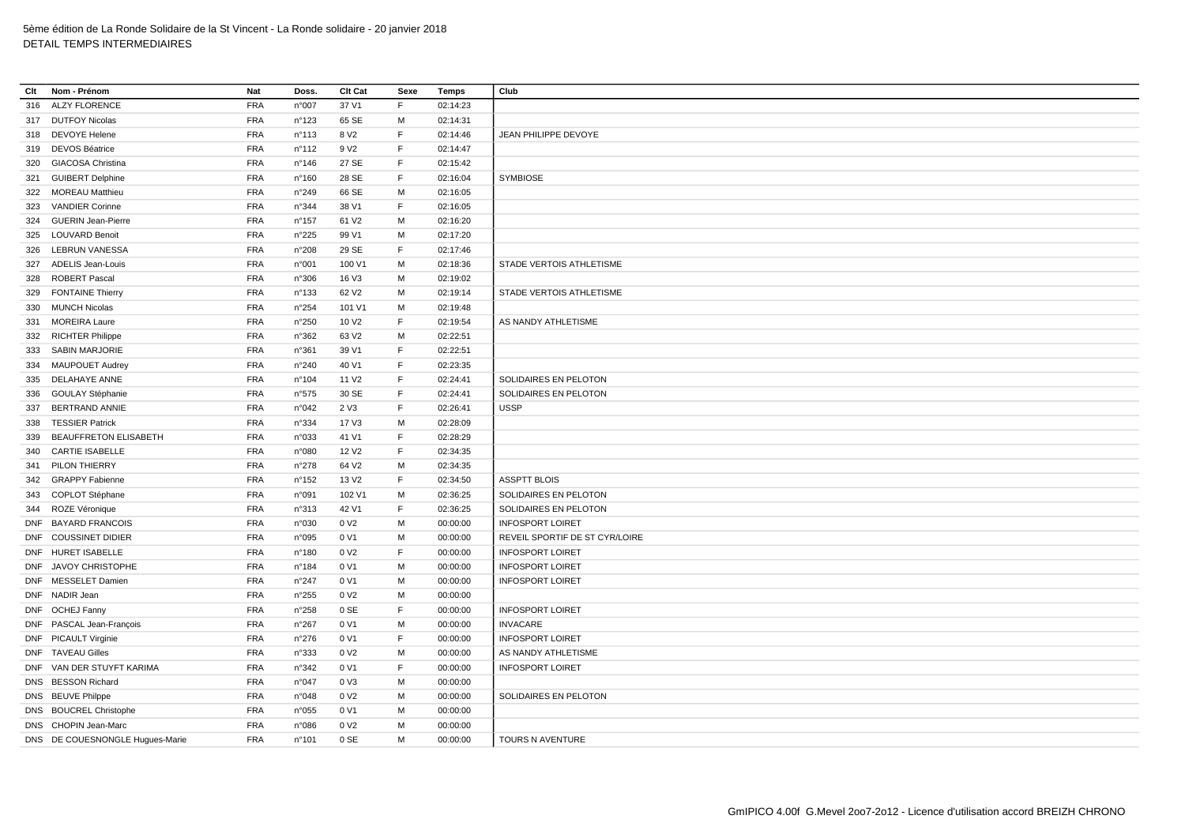| Clt | Nom - Prénom                    | Nat        | Doss.           | Clt Cat           | Sexe | Temps    | Club                           |
|-----|---------------------------------|------------|-----------------|-------------------|------|----------|--------------------------------|
| 316 | <b>ALZY FLORENCE</b>            | <b>FRA</b> | n°007           | 37 V1             | F    | 02:14:23 |                                |
|     | 317 DUTFOY Nicolas              | <b>FRA</b> | n°123           | 65 SE             | М    | 02:14:31 |                                |
| 318 | <b>DEVOYE Helene</b>            | <b>FRA</b> | $n^{\circ}113$  | 8 V <sub>2</sub>  | F    | 02:14:46 | JEAN PHILIPPE DEVOYE           |
|     | 319 DEVOS Béatrice              | <b>FRA</b> | $n^{\circ}112$  | 9 V <sub>2</sub>  | E    | 02:14:47 |                                |
| 320 | <b>GIACOSA Christina</b>        | <b>FRA</b> | n°146           | 27 SE             | F    | 02:15:42 |                                |
|     | 321 GUIBERT Delphine            | <b>FRA</b> | $n^{\circ}160$  | 28 SE             | F    | 02:16:04 | <b>SYMBIOSE</b>                |
|     | 322 MOREAU Matthieu             | <b>FRA</b> | n°249           | 66 SE             | м    | 02:16:05 |                                |
| 323 | <b>VANDIER Corinne</b>          | <b>FRA</b> | n°344           | 38 V1             | E    | 02:16:05 |                                |
| 324 | <b>GUERIN Jean-Pierre</b>       | <b>FRA</b> | $n^{\circ}$ 157 | 61 V <sub>2</sub> | м    | 02:16:20 |                                |
| 325 | <b>LOUVARD Benoit</b>           | <b>FRA</b> | n°225           | 99 V1             | M    | 02:17:20 |                                |
| 326 | <b>LEBRUN VANESSA</b>           | <b>FRA</b> | n°208           | 29 SE             | F    | 02:17:46 |                                |
|     | 327 ADELIS Jean-Louis           | <b>FRA</b> | n°001           | 100 V1            | M    | 02:18:36 | STADE VERTOIS ATHLETISME       |
| 328 | <b>ROBERT Pascal</b>            | <b>FRA</b> | n°306           | 16 V3             | M    | 02:19:02 |                                |
| 329 | <b>FONTAINE Thierry</b>         | <b>FRA</b> | $n^{\circ}$ 133 | 62 V <sub>2</sub> | М    | 02:19:14 | STADE VERTOIS ATHLETISME       |
| 330 | <b>MUNCH Nicolas</b>            | <b>FRA</b> | n°254           | 101 V1            | M    | 02:19:48 |                                |
|     | 331 MOREIRA Laure               | <b>FRA</b> | n°250           | 10 V <sub>2</sub> | E    | 02:19:54 | AS NANDY ATHLETISME            |
|     | 332 RICHTER Philippe            | <b>FRA</b> | n°362           | 63 V <sub>2</sub> | M    | 02:22:51 |                                |
|     | 333 SABIN MARJORIE              | <b>FRA</b> | n°361           | 39 V1             | F    | 02:22:51 |                                |
| 334 | <b>MAUPOUET Audrey</b>          | <b>FRA</b> | $n^{\circ}240$  | 40 V1             | F    | 02:23:35 |                                |
| 335 | DELAHAYE ANNE                   | <b>FRA</b> | $n^{\circ}104$  | 11 V <sub>2</sub> | F    | 02:24:41 | SOLIDAIRES EN PELOTON          |
| 336 | <b>GOULAY Stéphanie</b>         | <b>FRA</b> | n°575           | 30 SE             | E    | 02:24:41 | SOLIDAIRES EN PELOTON          |
| 337 | <b>BERTRAND ANNIE</b>           | <b>FRA</b> | n°042           | 2 V3              | F    | 02:26:41 | <b>USSP</b>                    |
| 338 | <b>TESSIER Patrick</b>          | <b>FRA</b> | n°334           | 17 V3             | M    | 02:28:09 |                                |
| 339 | <b>BEAUFFRETON ELISABETH</b>    | <b>FRA</b> | n°033           | 41 V1             | F    | 02:28:29 |                                |
|     | 340 CARTIE ISABELLE             | FRA        | n°080           | 12 V <sub>2</sub> | F    | 02:34:35 |                                |
| 341 | PILON THIERRY                   | <b>FRA</b> | n°278           | 64 V2             | M    | 02:34:35 |                                |
|     | 342 GRAPPY Fabienne             | <b>FRA</b> | n°152           | 13 V <sub>2</sub> | F    | 02:34:50 | <b>ASSPTT BLOIS</b>            |
|     | 343 COPLOT Stéphane             | <b>FRA</b> | n°091           | 102 V1            | M    | 02:36:25 | SOLIDAIRES EN PELOTON          |
|     | 344 ROZE Véronique              | <b>FRA</b> | n°313           | 42 V1             | F    | 02:36:25 | SOLIDAIRES EN PELOTON          |
|     | DNF BAYARD FRANCOIS             | <b>FRA</b> | n°030           | 0 V <sub>2</sub>  | м    | 00:00:00 | <b>INFOSPORT LOIRET</b>        |
|     | DNF COUSSINET DIDIER            | <b>FRA</b> | n°095           | 0 V1              | M    | 00:00:00 | REVEIL SPORTIF DE ST CYR/LOIRE |
|     | DNF HURET ISABELLE              | <b>FRA</b> | n°180           | 0 V <sub>2</sub>  | F    | 00:00:00 | <b>INFOSPORT LOIRET</b>        |
|     | DNF JAVOY CHRISTOPHE            | <b>FRA</b> | $n^{\circ}$ 184 | 0 V1              | м    | 00:00:00 | <b>INFOSPORT LOIRET</b>        |
|     | DNF MESSELET Damien             | <b>FRA</b> | n°247           | 0 V1              | M    | 00:00:00 | <b>INFOSPORT LOIRET</b>        |
|     | DNF NADIR Jean                  | <b>FRA</b> | n°255           | 0 V <sub>2</sub>  | м    | 00:00:00 |                                |
|     | DNF OCHEJ Fanny                 | <b>FRA</b> | n°258           | 0 SE              | F    | 00:00:00 | <b>INFOSPORT LOIRET</b>        |
|     | DNF PASCAL Jean-François        | <b>FRA</b> | n°267           | 0 V1              | M    | 00:00:00 | <b>INVACARE</b>                |
|     | DNF PICAULT Virginie            | FRA        | $n^{\circ}276$  | 0 V1              | E    | 00:00:00 | <b>INFOSPORT LOIRET</b>        |
|     | DNF TAVEAU Gilles               | <b>FRA</b> | n°333           | 0 V <sub>2</sub>  | M    | 00:00:00 | AS NANDY ATHLETISME            |
|     | DNF VAN DER STUYFT KARIMA       | <b>FRA</b> | n°342           | 0 V1              | F    | 00:00:00 | <b>INFOSPORT LOIRET</b>        |
|     | DNS BESSON Richard              | <b>FRA</b> | n°047           | 0 V3              | M    | 00:00:00 |                                |
|     | DNS BEUVE Philppe               | <b>FRA</b> | n°048           | 0 V <sub>2</sub>  | M    | 00:00:00 | SOLIDAIRES EN PELOTON          |
|     | DNS BOUCREL Christophe          | <b>FRA</b> | n°055           | 0 V1              | M    | 00:00:00 |                                |
|     | DNS CHOPIN Jean-Marc            | <b>FRA</b> | n°086           | 0 V <sub>2</sub>  | M    | 00:00:00 |                                |
|     | DNS DE COUESNONGLE Hugues-Marie | <b>FRA</b> | n°101           | 0 SE              | M    | 00:00:00 | TOURS N AVENTURE               |